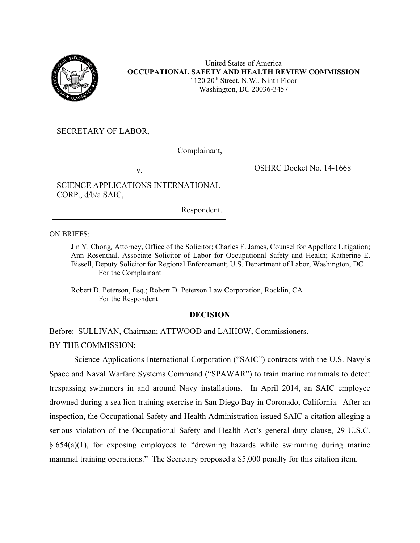

United States of America **OCCUPATIONAL SAFETY AND HEALTH REVIEW COMMISSION** 1120 20<sup>th</sup> Street, N.W., Ninth Floor Washington, DC 20036-3457

SECRETARY OF LABOR,

Complainant,

SCIENCE APPLICATIONS INTERNATIONAL CORP., d/b/a SAIC,

Respondent.

ON BRIEFS:

Jin Y. Chong*,* Attorney, Office of the Solicitor; Charles F. James, Counsel for Appellate Litigation; Ann Rosenthal, Associate Solicitor of Labor for Occupational Safety and Health; Katherine E. Bissell, Deputy Solicitor for Regional Enforcement; U.S. Department of Labor, Washington, DC For the Complainant

Robert D. Peterson, Esq.; Robert D. Peterson Law Corporation, Rocklin, CA For the Respondent

### **DECISION**

Before: SULLIVAN, Chairman; ATTWOOD and LAIHOW, Commissioners.

BY THE COMMISSION:

Science Applications International Corporation ("SAIC") contracts with the U.S. Navy's Space and Naval Warfare Systems Command ("SPAWAR") to train marine mammals to detect trespassing swimmers in and around Navy installations. In April 2014, an SAIC employee drowned during a sea lion training exercise in San Diego Bay in Coronado, California. After an inspection, the Occupational Safety and Health Administration issued SAIC a citation alleging a serious violation of the Occupational Safety and Health Act's general duty clause, 29 U.S.C. § 654(a)(1), for exposing employees to "drowning hazards while swimming during marine mammal training operations." The Secretary proposed a \$5,000 penalty for this citation item.

v. Solution of the SHRC Docket No. 14-1668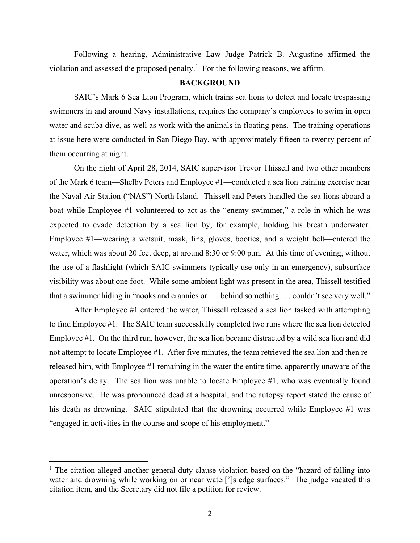Following a hearing, Administrative Law Judge Patrick B. Augustine affirmed the violation and assessed the proposed penalty.<sup>[1](#page-1-0)</sup> For the following reasons, we affirm.

# **BACKGROUND**

SAIC's Mark 6 Sea Lion Program, which trains sea lions to detect and locate trespassing swimmers in and around Navy installations, requires the company's employees to swim in open water and scuba dive, as well as work with the animals in floating pens. The training operations at issue here were conducted in San Diego Bay, with approximately fifteen to twenty percent of them occurring at night.

On the night of April 28, 2014, SAIC supervisor Trevor Thissell and two other members of the Mark 6 team—Shelby Peters and Employee #1—conducted a sea lion training exercise near the Naval Air Station ("NAS") North Island. Thissell and Peters handled the sea lions aboard a boat while Employee #1 volunteered to act as the "enemy swimmer," a role in which he was expected to evade detection by a sea lion by, for example, holding his breath underwater. Employee #1—wearing a wetsuit, mask, fins, gloves, booties, and a weight belt—entered the water, which was about 20 feet deep, at around 8:30 or 9:00 p.m. At this time of evening, without the use of a flashlight (which SAIC swimmers typically use only in an emergency), subsurface visibility was about one foot. While some ambient light was present in the area, Thissell testified that a swimmer hiding in "nooks and crannies or . . . behind something . . . couldn't see very well."

After Employee #1 entered the water, Thissell released a sea lion tasked with attempting to find Employee #1. The SAIC team successfully completed two runs where the sea lion detected Employee #1. On the third run, however, the sea lion became distracted by a wild sea lion and did not attempt to locate Employee #1. After five minutes, the team retrieved the sea lion and then rereleased him, with Employee #1 remaining in the water the entire time, apparently unaware of the operation's delay. The sea lion was unable to locate Employee #1, who was eventually found unresponsive. He was pronounced dead at a hospital, and the autopsy report stated the cause of his death as drowning. SAIC stipulated that the drowning occurred while Employee #1 was "engaged in activities in the course and scope of his employment."

<span id="page-1-0"></span><sup>&</sup>lt;sup>1</sup> The citation alleged another general duty clause violation based on the "hazard of falling into water and drowning while working on or near water<sup>[']</sup>s edge surfaces." The judge vacated this citation item, and the Secretary did not file a petition for review.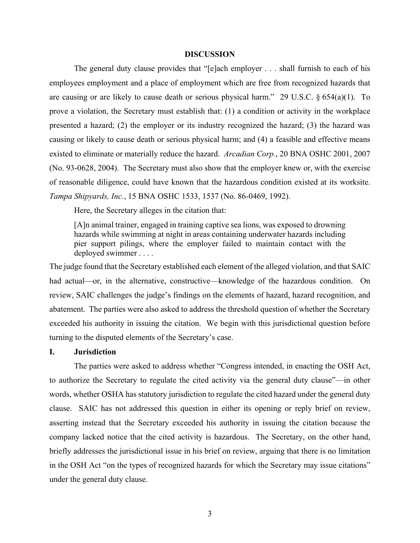#### **DISCUSSION**

The general duty clause provides that "[e]ach employer . . . shall furnish to each of his employees employment and a place of employment which are free from recognized hazards that are causing or are likely to cause death or serious physical harm." 29 U.S.C. § 654(a)(1). To prove a violation, the Secretary must establish that: (1) a condition or activity in the workplace presented a hazard; (2) the employer or its industry recognized the hazard; (3) the hazard was causing or likely to cause death or serious physical harm; and (4) a feasible and effective means existed to eliminate or materially reduce the hazard. *Arcadian Corp.*, 20 BNA OSHC 2001, 2007 (No. 93-0628, 2004). The Secretary must also show that the employer knew or, with the exercise of reasonable diligence, could have known that the hazardous condition existed at its worksite. *Tampa Shipyards, Inc.*, 15 BNA OSHC 1533, 1537 (No. 86-0469, 1992).

Here, the Secretary alleges in the citation that:

[A]n animal trainer, engaged in training captive sea lions, was exposed to drowning hazards while swimming at night in areas containing underwater hazards including pier support pilings, where the employer failed to maintain contact with the deployed swimmer . . . .

The judge found that the Secretary established each element of the alleged violation, and that SAIC had actual—or, in the alternative, constructive—knowledge of the hazardous condition. On review, SAIC challenges the judge's findings on the elements of hazard, hazard recognition, and abatement. The parties were also asked to address the threshold question of whether the Secretary exceeded his authority in issuing the citation. We begin with this jurisdictional question before turning to the disputed elements of the Secretary's case.

# **I. Jurisdiction**

The parties were asked to address whether "Congress intended, in enacting the OSH Act, to authorize the Secretary to regulate the cited activity via the general duty clause"—in other words, whether OSHA has statutory jurisdiction to regulate the cited hazard under the general duty clause. SAIC has not addressed this question in either its opening or reply brief on review, asserting instead that the Secretary exceeded his authority in issuing the citation because the company lacked notice that the cited activity is hazardous. The Secretary, on the other hand, briefly addresses the jurisdictional issue in his brief on review, arguing that there is no limitation in the OSH Act "on the types of recognized hazards for which the Secretary may issue citations" under the general duty clause.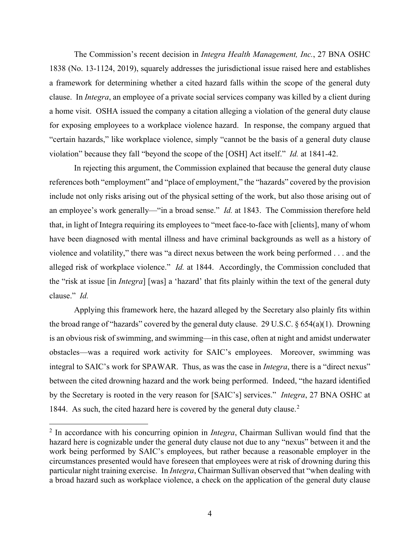The Commission's recent decision in *Integra Health Management, Inc.*, 27 BNA OSHC 1838 (No. 13-1124, 2019), squarely addresses the jurisdictional issue raised here and establishes a framework for determining whether a cited hazard falls within the scope of the general duty clause. In *Integra*, an employee of a private social services company was killed by a client during a home visit. OSHA issued the company a citation alleging a violation of the general duty clause for exposing employees to a workplace violence hazard. In response, the company argued that "certain hazards," like workplace violence, simply "cannot be the basis of a general duty clause violation" because they fall "beyond the scope of the [OSH] Act itself." *Id.* at 1841-42.

In rejecting this argument, the Commission explained that because the general duty clause references both "employment" and "place of employment," the "hazards" covered by the provision include not only risks arising out of the physical setting of the work, but also those arising out of an employee's work generally—"in a broad sense." *Id.* at 1843.The Commission therefore held that, in light of Integra requiring its employees to "meet face-to-face with [clients], many of whom have been diagnosed with mental illness and have criminal backgrounds as well as a history of violence and volatility," there was "a direct nexus between the work being performed . . . and the alleged risk of workplace violence." *Id.* at 1844. Accordingly, the Commission concluded that the "risk at issue [in *Integra*] [was] a 'hazard' that fits plainly within the text of the general duty clause." *Id.*

Applying this framework here, the hazard alleged by the Secretary also plainly fits within the broad range of "hazards" covered by the general duty clause. 29 U.S.C.  $\S 654(a)(1)$ . Drowning is an obvious risk of swimming, and swimming—in this case, often at night and amidst underwater obstacles—was a required work activity for SAIC's employees. Moreover, swimming was integral to SAIC's work for SPAWAR. Thus, as was the case in *Integra*, there is a "direct nexus" between the cited drowning hazard and the work being performed. Indeed, "the hazard identified by the Secretary is rooted in the very reason for [SAIC's] services." *Integra*, 27 BNA OSHC at 1844. As such, the cited hazard here is covered by the general duty clause.<sup>[2](#page-3-0)</sup>

<span id="page-3-0"></span><sup>2</sup> In accordance with his concurring opinion in *Integra*, Chairman Sullivan would find that the hazard here is cognizable under the general duty clause not due to any "nexus" between it and the work being performed by SAIC's employees, but rather because a reasonable employer in the circumstances presented would have foreseen that employees were at risk of drowning during this particular night training exercise. In *Integra*, Chairman Sullivan observed that "when dealing with a broad hazard such as workplace violence, a check on the application of the general duty clause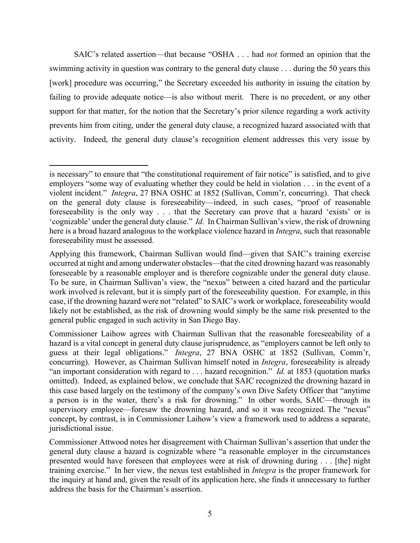SAIC's related assertion—that because "OSHA . . . had *not* formed an opinion that the swimming activity in question was contrary to the general duty clause . . . during the 50 years this [work] procedure was occurring," the Secretary exceeded his authority in issuing the citation by failing to provide adequate notice—is also without merit. There is no precedent, or any other support for that matter, for the notion that the Secretary's prior silence regarding a work activity prevents him from citing, under the general duty clause, a recognized hazard associated with that activity. Indeed, the general duty clause's recognition element addresses this very issue by

is necessary" to ensure that "the constitutional requirement of fair notice" is satisfied, and to give employers "some way of evaluating whether they could be held in violation . . . in the event of a violent incident." *Integra*, 27 BNA OSHC at 1852 (Sullivan, Comm'r, concurring). That check on the general duty clause is foreseeability—indeed, in such cases, "proof of reasonable foreseeability is the only way . . . that the Secretary can prove that a hazard 'exists' or is 'cognizable' under the general duty clause." *Id.* In Chairman Sullivan's view, the risk of drowning here is a broad hazard analogous to the workplace violence hazard in *Integra*, such that reasonable foreseeability must be assessed.

Applying this framework, Chairman Sullivan would find—given that SAIC's training exercise occurred at night and among underwater obstacles—that the cited drowning hazard was reasonably foreseeable by a reasonable employer and is therefore cognizable under the general duty clause. To be sure, in Chairman Sullivan's view, the "nexus" between a cited hazard and the particular work involved is relevant, but it is simply part of the foreseeability question. For example, in this case, if the drowning hazard were not "related" to SAIC's work or workplace, foreseeability would likely not be established, as the risk of drowning would simply be the same risk presented to the general public engaged in such activity in San Diego Bay.

Commissioner Laihow agrees with Chairman Sullivan that the reasonable foreseeability of a hazard is a vital concept in general duty clause jurisprudence, as "employers cannot be left only to guess at their legal obligations." *Integra*, 27 BNA OSHC at 1852 (Sullivan, Comm'r, concurring). However, as Chairman Sullivan himself noted in *Integra*, foreseeability is already "an important consideration with regard to . . . hazard recognition." *Id.* at 1853 (quotation marks omitted). Indeed, as explained below, we conclude that SAIC recognized the drowning hazard in this case based largely on the testimony of the company's own Dive Safety Officer that "anytime a person is in the water, there's a risk for drowning." In other words, SAIC—through its supervisory employee—foresaw the drowning hazard, and so it was recognized. The "nexus" concept, by contrast, is in Commissioner Laihow's view a framework used to address a separate, jurisdictional issue.

Commissioner Attwood notes her disagreement with Chairman Sullivan's assertion that under the general duty clause a hazard is cognizable where "a reasonable employer in the circumstances presented would have foreseen that employees were at risk of drowning during . . . [the] night training exercise." In her view, the nexus test established in *Integra* is the proper framework for the inquiry at hand and, given the result of its application here, she finds it unnecessary to further address the basis for the Chairman's assertion.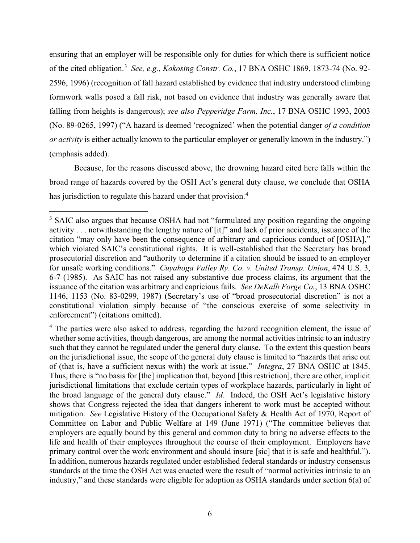ensuring that an employer will be responsible only for duties for which there is sufficient notice of the cited obligation.[3](#page-5-0) *See, e.g., Kokosing Constr. Co.*, 17 BNA OSHC 1869, 1873-74 (No. 92- 2596, 1996) (recognition of fall hazard established by evidence that industry understood climbing formwork walls posed a fall risk, not based on evidence that industry was generally aware that falling from heights is dangerous); *see also Pepperidge Farm, Inc.*, 17 BNA OSHC 1993, 2003 (No. 89-0265, 1997) ("A hazard is deemed 'recognized' when the potential danger *of a condition or activity* is either actually known to the particular employer or generally known in the industry.") (emphasis added).

Because, for the reasons discussed above, the drowning hazard cited here falls within the broad range of hazards covered by the OSH Act's general duty clause, we conclude that OSHA has jurisdiction to regulate this hazard under that provision.<sup>[4](#page-5-1)</sup>

<span id="page-5-0"></span><sup>&</sup>lt;sup>3</sup> SAIC also argues that because OSHA had not "formulated any position regarding the ongoing activity . . . notwithstanding the lengthy nature of [it]" and lack of prior accidents, issuance of the citation "may only have been the consequence of arbitrary and capricious conduct of [OSHA]," which violated SAIC's constitutional rights. It is well-established that the Secretary has broad prosecutorial discretion and "authority to determine if a citation should be issued to an employer for unsafe working conditions." *Cuyahoga Valley Ry. Co. v. United Transp. Union*, 474 U.S. 3, 6-7 (1985). As SAIC has not raised any substantive due process claims, its argument that the issuance of the citation was arbitrary and capricious fails. *See DeKalb Forge Co.*, 13 BNA OSHC 1146, 1153 (No. 83-0299, 1987) (Secretary's use of "broad prosecutorial discretion" is not a constitutional violation simply because of "the conscious exercise of some selectivity in enforcement") (citations omitted).

<span id="page-5-1"></span><sup>&</sup>lt;sup>4</sup> The parties were also asked to address, regarding the hazard recognition element, the issue of whether some activities, though dangerous, are among the normal activities intrinsic to an industry such that they cannot be regulated under the general duty clause. To the extent this question bears on the jurisdictional issue, the scope of the general duty clause is limited to "hazards that arise out of (that is, have a sufficient nexus with) the work at issue." *Integra*, 27 BNA OSHC at 1845. Thus, there is "no basis for [the] implication that, beyond [this restriction], there are other, implicit jurisdictional limitations that exclude certain types of workplace hazards, particularly in light of the broad language of the general duty clause." *Id.* Indeed, the OSH Act's legislative history shows that Congress rejected the idea that dangers inherent to work must be accepted without mitigation. *See* Legislative History of the Occupational Safety & Health Act of 1970, Report of Committee on Labor and Public Welfare at 149 (June 1971) ("The committee believes that employers are equally bound by this general and common duty to bring no adverse effects to the life and health of their employees throughout the course of their employment. Employers have primary control over the work environment and should insure [sic] that it is safe and healthful."). In addition, numerous hazards regulated under established federal standards or industry consensus standards at the time the OSH Act was enacted were the result of "normal activities intrinsic to an industry," and these standards were eligible for adoption as OSHA standards under section 6(a) of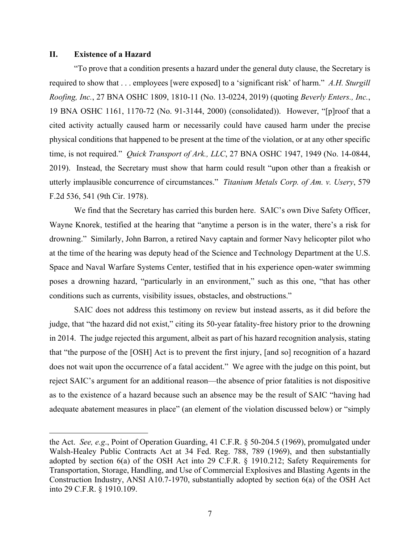### **II. Existence of a Hazard**

"To prove that a condition presents a hazard under the general duty clause, the Secretary is required to show that . . . employees [were exposed] to a 'significant risk' of harm." *A.H. Sturgill Roofing, Inc.*, 27 BNA OSHC 1809, 1810-11 (No. 13-0224, 2019) (quoting *Beverly Enters., Inc.*, 19 BNA OSHC 1161, 1170-72 (No. 91-3144, 2000) (consolidated)). However, "[p]roof that a cited activity actually caused harm or necessarily could have caused harm under the precise physical conditions that happened to be present at the time of the violation, or at any other specific time, is not required." *Quick Transport of Ark., LLC*, 27 BNA OSHC 1947, 1949 (No. 14-0844, 2019). Instead, the Secretary must show that harm could result "upon other than a freakish or utterly implausible concurrence of circumstances." *Titanium Metals Corp. of Am. v. Usery*, 579 F.2d 536, 541 (9th Cir. 1978).

We find that the Secretary has carried this burden here. SAIC's own Dive Safety Officer, Wayne Knorek, testified at the hearing that "anytime a person is in the water, there's a risk for drowning." Similarly, John Barron, a retired Navy captain and former Navy helicopter pilot who at the time of the hearing was deputy head of the Science and Technology Department at the U.S. Space and Naval Warfare Systems Center, testified that in his experience open-water swimming poses a drowning hazard, "particularly in an environment," such as this one, "that has other conditions such as currents, visibility issues, obstacles, and obstructions."

SAIC does not address this testimony on review but instead asserts, as it did before the judge, that "the hazard did not exist," citing its 50-year fatality-free history prior to the drowning in 2014. The judge rejected this argument, albeit as part of his hazard recognition analysis, stating that "the purpose of the [OSH] Act is to prevent the first injury, [and so] recognition of a hazard does not wait upon the occurrence of a fatal accident." We agree with the judge on this point, but reject SAIC's argument for an additional reason—the absence of prior fatalities is not dispositive as to the existence of a hazard because such an absence may be the result of SAIC "having had adequate abatement measures in place" (an element of the violation discussed below) or "simply

the Act. *See, e.g*., Point of Operation Guarding, 41 C.F.R. § 50-204.5 (1969), promulgated under Walsh-Healey Public Contracts Act at 34 Fed. Reg. 788, 789 (1969), and then substantially adopted by section 6(a) of the OSH Act into 29 C.F.R. § 1910.212; Safety Requirements for Transportation, Storage, Handling, and Use of Commercial Explosives and Blasting Agents in the Construction Industry, ANSI A10.7-1970, substantially adopted by section 6(a) of the OSH Act into 29 C.F.R. § 1910.109.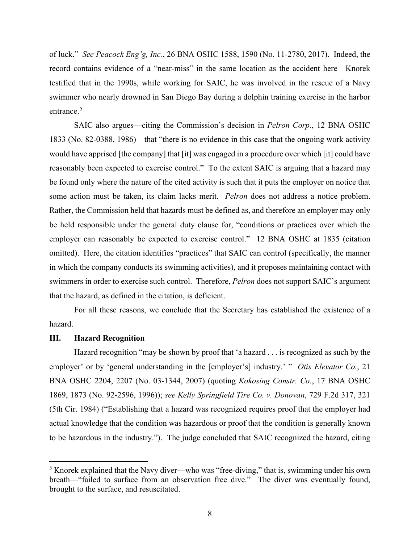of luck." *See Peacock Eng'g, Inc.*, 26 BNA OSHC 1588, 1590 (No. 11-2780, 2017). Indeed, the record contains evidence of a "near-miss" in the same location as the accident here—Knorek testified that in the 1990s, while working for SAIC, he was involved in the rescue of a Navy swimmer who nearly drowned in San Diego Bay during a dolphin training exercise in the harbor entrance.<sup>[5](#page-7-0)</sup>

SAIC also argues—citing the Commission's decision in *Pelron Corp.*, 12 BNA OSHC 1833 (No. 82-0388, 1986)—that "there is no evidence in this case that the ongoing work activity would have apprised [the company] that [it] was engaged in a procedure over which [it] could have reasonably been expected to exercise control." To the extent SAIC is arguing that a hazard may be found only where the nature of the cited activity is such that it puts the employer on notice that some action must be taken, its claim lacks merit. *Pelron* does not address a notice problem. Rather, the Commission held that hazards must be defined as, and therefore an employer may only be held responsible under the general duty clause for, "conditions or practices over which the employer can reasonably be expected to exercise control." 12 BNA OSHC at 1835 (citation omitted). Here, the citation identifies "practices" that SAIC can control (specifically, the manner in which the company conducts its swimming activities), and it proposes maintaining contact with swimmers in order to exercise such control. Therefore, *Pelron* does not support SAIC's argument that the hazard, as defined in the citation, is deficient.

For all these reasons, we conclude that the Secretary has established the existence of a hazard.

### **III. Hazard Recognition**

Hazard recognition "may be shown by proof that 'a hazard . . . is recognized as such by the employer' or by 'general understanding in the [employer's] industry.' " *Otis Elevator Co.*, 21 BNA OSHC 2204, 2207 (No. 03-1344, 2007) (quoting *Kokosing Constr. Co.*, 17 BNA OSHC 1869, 1873 (No. 92-2596, 1996)); *see Kelly Springfield Tire Co. v. Donovan*, 729 F.2d 317, 321 (5th Cir. 1984) ("Establishing that a hazard was recognized requires proof that the employer had actual knowledge that the condition was hazardous or proof that the condition is generally known to be hazardous in the industry."). The judge concluded that SAIC recognized the hazard, citing

<span id="page-7-0"></span><sup>5</sup> Knorek explained that the Navy diver—who was "free-diving," that is, swimming under his own breath—"failed to surface from an observation free dive." The diver was eventually found, brought to the surface, and resuscitated.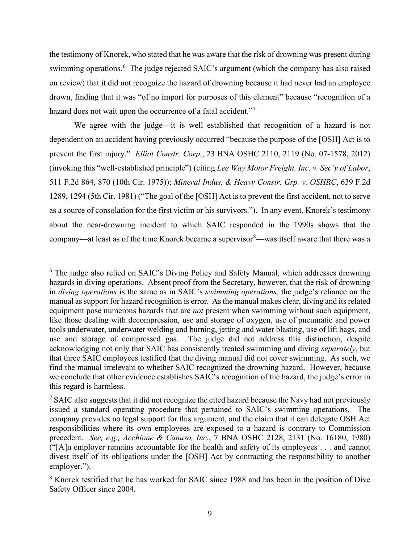the testimony of Knorek, who stated that he was aware that the risk of drowning was present during swimming operations.<sup>[6](#page-8-0)</sup> The judge rejected SAIC's argument (which the company has also raised on review) that it did not recognize the hazard of drowning because it had never had an employee drown, finding that it was "of no import for purposes of this element" because "recognition of a hazard does not wait upon the occurrence of a fatal accident."<sup>[7](#page-8-1)</sup>

We agree with the judge—it is well established that recognition of a hazard is not dependent on an accident having previously occurred "because the purpose of the [OSH] Act is to prevent the first injury." *Elliot Constr. Corp.*, 23 BNA OSHC 2110, 2119 (No. 07-1578, 2012) (invoking this "well-established principle") (citing *Lee Way Motor Freight, Inc. v. Sec'y of Labor*, 511 F.2d 864, 870 (10th Cir. 1975)); *Mineral Indus. & Heavy Constr. Grp. v. OSHRC*, 639 F.2d 1289, 1294 (5th Cir. 1981) ("The goal of the [OSH] Act is to prevent the first accident, not to serve as a source of consolation for the first victim or his survivors."). In any event, Knorek's testimony about the near-drowning incident to which SAIC responded in the 1990s shows that the company—at least as of the time Knorek became a supervisor $\delta$ —was itself aware that there was a

<span id="page-8-0"></span><sup>&</sup>lt;sup>6</sup> The judge also relied on SAIC's Diving Policy and Safety Manual, which addresses drowning hazards in diving operations. Absent proof from the Secretary, however, that the risk of drowning in *diving operations* is the same as in SAIC's *swimming operations*, the judge's reliance on the manual as support for hazard recognition is error. As the manual makes clear, diving and its related equipment pose numerous hazards that are *not* present when swimming without such equipment, like those dealing with decompression, use and storage of oxygen, use of pneumatic and power tools underwater, underwater welding and burning, jetting and water blasting, use of lift bags, and use and storage of compressed gas. The judge did not address this distinction, despite acknowledging not only that SAIC has consistently treated swimming and diving *separately*, but that three SAIC employees testified that the diving manual did not cover swimming. As such, we find the manual irrelevant to whether SAIC recognized the drowning hazard. However, because we conclude that other evidence establishes SAIC's recognition of the hazard, the judge's error in this regard is harmless.

<span id="page-8-1"></span><sup>&</sup>lt;sup>7</sup> SAIC also suggests that it did not recognize the cited hazard because the Navy had not previously issued a standard operating procedure that pertained to SAIC's swimming operations. The company provides no legal support for this argument, and the claim that it can delegate OSH Act responsibilities where its own employees are exposed to a hazard is contrary to Commission precedent. *See, e.g., Acchione & Canuso, Inc.*, 7 BNA OSHC 2128, 2131 (No. 16180, 1980) ("[A]n employer remains accountable for the health and safety of its employees . . . and cannot divest itself of its obligations under the [OSH] Act by contracting the responsibility to another employer.").

<span id="page-8-2"></span><sup>8</sup> Knorek testified that he has worked for SAIC since 1988 and has been in the position of Dive Safety Officer since 2004.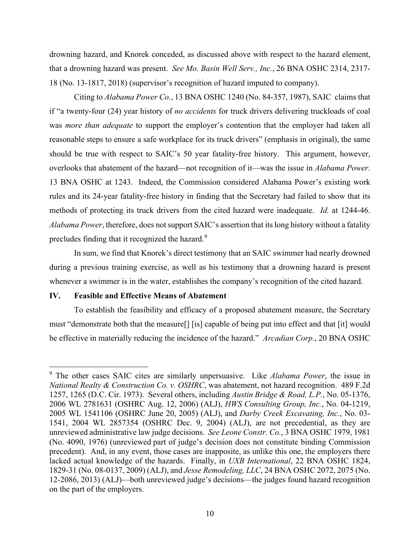drowning hazard, and Knorek conceded, as discussed above with respect to the hazard element, that a drowning hazard was present. *See Mo. Basin Well Serv., Inc.*, 26 BNA OSHC 2314, 2317- 18 (No. 13-1817, 2018) (supervisor's recognition of hazard imputed to company).

Citing to *Alabama Power Co.*, 13 BNA OSHC 1240 (No. 84-357, 1987), SAIC claims that if "a twenty-four (24) year history of *no accidents* for truck drivers delivering truckloads of coal was *more than adequate* to support the employer's contention that the employer had taken all reasonable steps to ensure a safe workplace for its truck drivers" (emphasis in original), the same should be true with respect to SAIC's 50 year fatality-free history. This argument, however, overlooks that abatement of the hazard—not recognition of it—was the issue in *Alabama Power*. 13 BNA OSHC at 1243. Indeed, the Commission considered Alabama Power's existing work rules and its 24-year fatality-free history in finding that the Secretary had failed to show that its methods of protecting its truck drivers from the cited hazard were inadequate. *Id.* at 1244-46. *Alabama Power*, therefore, does not support SAIC's assertion that itslong history without a fatality precludes finding that it recognized the hazard.<sup>[9](#page-9-0)</sup>

In sum, we find that Knorek's direct testimony that an SAIC swimmer had nearly drowned during a previous training exercise, as well as his testimony that a drowning hazard is present whenever a swimmer is in the water, establishes the company's recognition of the cited hazard.

## **IV. Feasible and Effective Means of Abatement**

To establish the feasibility and efficacy of a proposed abatement measure, the Secretary must "demonstrate both that the measure[] [is] capable of being put into effect and that [it] would be effective in materially reducing the incidence of the hazard." *Arcadian Corp.*, 20 BNA OSHC

<span id="page-9-0"></span><sup>9</sup> The other cases SAIC cites are similarly unpersuasive. Like *Alabama Power*, the issue in *National Realty & Construction Co. v. OSHRC*, was abatement, not hazard recognition. 489 F.2d 1257, 1265 (D.C. Cir. 1973). Several others, including *Austin Bridge & Road, L.P.*, No. 05-1376, 2006 WL 2781631 (OSHRC Aug. 12, 2006) (ALJ), *HWS Consulting Group, Inc.*, No. 04-1219, 2005 WL 1541106 (OSHRC June 20, 2005) (ALJ), and *Darby Creek Excavating, Inc.*, No. 03- 1541, 2004 WL 2857354 (OSHRC Dec. 9, 2004) (ALJ), are not precedential, as they are unreviewed administrative law judge decisions. *See Leone Constr. Co.*, 3 BNA OSHC 1979, 1981 (No. 4090, 1976) (unreviewed part of judge's decision does not constitute binding Commission precedent). And, in any event, those cases are inapposite, as unlike this one, the employers there lacked actual knowledge of the hazards. Finally, in *UXB International*, 22 BNA OSHC 1824, 1829-31 (No. 08-0137, 2009) (ALJ), and *Jesse Remodeling, LLC*, 24 BNA OSHC 2072, 2075 (No. 12-2086, 2013) (ALJ)—both unreviewed judge's decisions—the judges found hazard recognition on the part of the employers.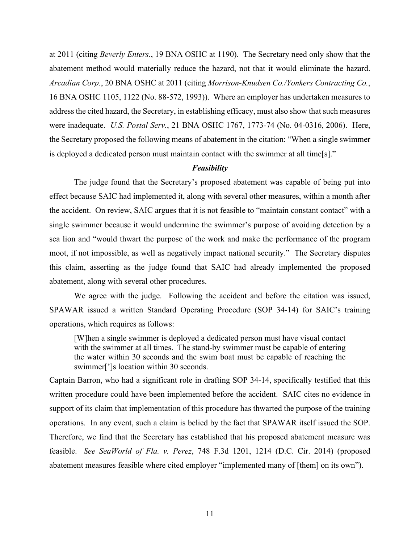at 2011 (citing *Beverly Enters.*, 19 BNA OSHC at 1190). The Secretary need only show that the abatement method would materially reduce the hazard, not that it would eliminate the hazard. *Arcadian Corp.*, 20 BNA OSHC at 2011 (citing *Morrison-Knudsen Co./Yonkers Contracting Co.*, 16 BNA OSHC 1105, 1122 (No. 88-572, 1993)). Where an employer has undertaken measures to address the cited hazard, the Secretary, in establishing efficacy, must also show that such measures were inadequate. *U.S. Postal Serv.*, 21 BNA OSHC 1767, 1773-74 (No. 04-0316, 2006). Here, the Secretary proposed the following means of abatement in the citation: "When a single swimmer is deployed a dedicated person must maintain contact with the swimmer at all time[s]."

#### *Feasibility*

The judge found that the Secretary's proposed abatement was capable of being put into effect because SAIC had implemented it, along with several other measures, within a month after the accident. On review, SAIC argues that it is not feasible to "maintain constant contact" with a single swimmer because it would undermine the swimmer's purpose of avoiding detection by a sea lion and "would thwart the purpose of the work and make the performance of the program moot, if not impossible, as well as negatively impact national security." The Secretary disputes this claim, asserting as the judge found that SAIC had already implemented the proposed abatement, along with several other procedures.

We agree with the judge. Following the accident and before the citation was issued, SPAWAR issued a written Standard Operating Procedure (SOP 34-14) for SAIC's training operations, which requires as follows:

[W]hen a single swimmer is deployed a dedicated person must have visual contact with the swimmer at all times. The stand-by swimmer must be capable of entering the water within 30 seconds and the swim boat must be capable of reaching the swimmer[']s location within 30 seconds.

Captain Barron, who had a significant role in drafting SOP 34-14, specifically testified that this written procedure could have been implemented before the accident. SAIC cites no evidence in support of its claim that implementation of this procedure has thwarted the purpose of the training operations. In any event, such a claim is belied by the fact that SPAWAR itself issued the SOP. Therefore, we find that the Secretary has established that his proposed abatement measure was feasible. *See SeaWorld of Fla. v. Perez*, 748 F.3d 1201, 1214 (D.C. Cir. 2014) (proposed abatement measures feasible where cited employer "implemented many of [them] on its own").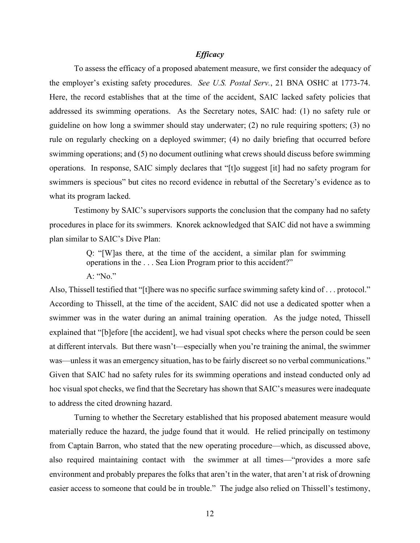## *Efficacy*

To assess the efficacy of a proposed abatement measure, we first consider the adequacy of the employer's existing safety procedures. *See U.S. Postal Serv.*, 21 BNA OSHC at 1773-74. Here, the record establishes that at the time of the accident, SAIC lacked safety policies that addressed its swimming operations. As the Secretary notes, SAIC had: (1) no safety rule or guideline on how long a swimmer should stay underwater; (2) no rule requiring spotters; (3) no rule on regularly checking on a deployed swimmer; (4) no daily briefing that occurred before swimming operations; and (5) no document outlining what crews should discuss before swimming operations. In response, SAIC simply declares that "[t]o suggest [it] had no safety program for swimmers is specious" but cites no record evidence in rebuttal of the Secretary's evidence as to what its program lacked.

Testimony by SAIC's supervisors supports the conclusion that the company had no safety procedures in place for its swimmers. Knorek acknowledged that SAIC did not have a swimming plan similar to SAIC's Dive Plan:

> Q: "[W]as there, at the time of the accident, a similar plan for swimming operations in the . . . Sea Lion Program prior to this accident?" A: "No."

Also, Thissell testified that "[t]here was no specific surface swimming safety kind of . . . protocol." According to Thissell, at the time of the accident, SAIC did not use a dedicated spotter when a swimmer was in the water during an animal training operation. As the judge noted, Thissell explained that "[b]efore [the accident], we had visual spot checks where the person could be seen at different intervals. But there wasn't—especially when you're training the animal, the swimmer was—unless it was an emergency situation, has to be fairly discreet so no verbal communications." Given that SAIC had no safety rules for its swimming operations and instead conducted only ad hoc visual spot checks, we find that the Secretary has shown that SAIC's measures were inadequate to address the cited drowning hazard.

Turning to whether the Secretary established that his proposed abatement measure would materially reduce the hazard, the judge found that it would. He relied principally on testimony from Captain Barron, who stated that the new operating procedure—which, as discussed above, also required maintaining contact with the swimmer at all times—"provides a more safe environment and probably prepares the folks that aren't in the water, that aren't at risk of drowning easier access to someone that could be in trouble." The judge also relied on Thissell's testimony,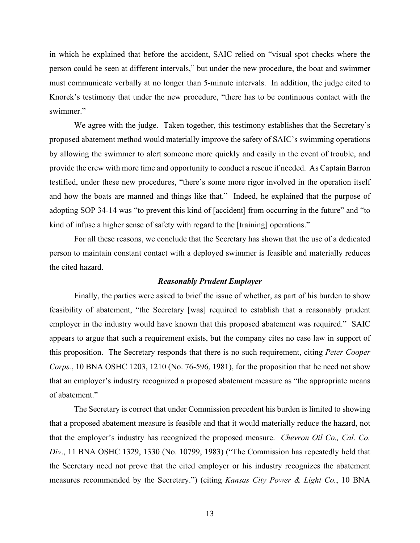in which he explained that before the accident, SAIC relied on "visual spot checks where the person could be seen at different intervals," but under the new procedure, the boat and swimmer must communicate verbally at no longer than 5-minute intervals. In addition, the judge cited to Knorek's testimony that under the new procedure, "there has to be continuous contact with the swimmer."

We agree with the judge. Taken together, this testimony establishes that the Secretary's proposed abatement method would materially improve the safety of SAIC's swimming operations by allowing the swimmer to alert someone more quickly and easily in the event of trouble, and provide the crew with more time and opportunity to conduct a rescue if needed. As Captain Barron testified, under these new procedures, "there's some more rigor involved in the operation itself and how the boats are manned and things like that." Indeed, he explained that the purpose of adopting SOP 34-14 was "to prevent this kind of [accident] from occurring in the future" and "to kind of infuse a higher sense of safety with regard to the [training] operations."

For all these reasons, we conclude that the Secretary has shown that the use of a dedicated person to maintain constant contact with a deployed swimmer is feasible and materially reduces the cited hazard.

#### *Reasonably Prudent Employer*

Finally, the parties were asked to brief the issue of whether, as part of his burden to show feasibility of abatement, "the Secretary [was] required to establish that a reasonably prudent employer in the industry would have known that this proposed abatement was required." SAIC appears to argue that such a requirement exists, but the company cites no case law in support of this proposition. The Secretary responds that there is no such requirement, citing *Peter Cooper Corps.*, 10 BNA OSHC 1203, 1210 (No. 76-596, 1981), for the proposition that he need not show that an employer's industry recognized a proposed abatement measure as "the appropriate means of abatement."

The Secretary is correct that under Commission precedent his burden is limited to showing that a proposed abatement measure is feasible and that it would materially reduce the hazard, not that the employer's industry has recognized the proposed measure. *Chevron Oil Co., Cal. Co. Div*., 11 BNA OSHC 1329, 1330 (No. 10799, 1983) ("The Commission has repeatedly held that the Secretary need not prove that the cited employer or his industry recognizes the abatement measures recommended by the Secretary.") (citing *Kansas City Power & Light Co.*, 10 BNA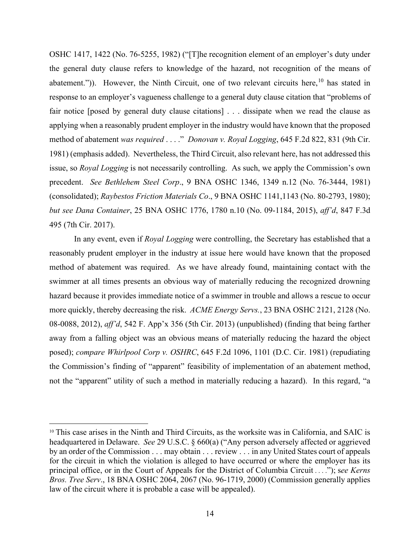OSHC 1417, 1422 (No. 76-5255, 1982) ("[T]he recognition element of an employer's duty under the general duty clause refers to knowledge of the hazard, not recognition of the means of abatement.")). However, the Ninth Circuit, one of two relevant circuits here,<sup>[10](#page-13-0)</sup> has stated in response to an employer's vagueness challenge to a general duty clause citation that "problems of fair notice [posed by general duty clause citations] . . . dissipate when we read the clause as applying when a reasonably prudent employer in the industry would have known that the proposed method of abatement *was required* . . . ." *Donovan v. Royal Logging*, 645 F.2d 822, 831 (9th Cir. 1981) (emphasis added). Nevertheless, the Third Circuit, also relevant here, has not addressed this issue, so *Royal Logging* is not necessarily controlling. As such, we apply the Commission's own precedent. *See Bethlehem Steel Corp*., 9 BNA OSHC 1346, 1349 n.12 (No. 76-3444, 1981) (consolidated); *Raybestos Friction Materials Co*., 9 BNA OSHC 1141,1143 (No. 80-2793, 1980); *but see Dana Container*, 25 BNA OSHC 1776, 1780 n.10 (No. 09-1184, 2015), *aff'd*, 847 F.3d 495 (7th Cir. 2017).

In any event, even if *Royal Logging* were controlling, the Secretary has established that a reasonably prudent employer in the industry at issue here would have known that the proposed method of abatement was required. As we have already found, maintaining contact with the swimmer at all times presents an obvious way of materially reducing the recognized drowning hazard because it provides immediate notice of a swimmer in trouble and allows a rescue to occur more quickly, thereby decreasing the risk. *ACME Energy Servs.*, 23 BNA OSHC 2121, 2128 (No. 08-0088, 2012), *aff'd*, 542 F. App'x 356 (5th Cir. 2013) (unpublished) (finding that being farther away from a falling object was an obvious means of materially reducing the hazard the object posed); *compare Whirlpool Corp v. OSHRC*, 645 F.2d 1096, 1101 (D.C. Cir. 1981) (repudiating the Commission's finding of "apparent" feasibility of implementation of an abatement method, not the "apparent" utility of such a method in materially reducing a hazard). In this regard, "a

<span id="page-13-0"></span><sup>10</sup> This case arises in the Ninth and Third Circuits, as the worksite was in California, and SAIC is headquartered in Delaware. *See* 29 U.S.C. § 660(a) ("Any person adversely affected or aggrieved by an order of the Commission . . . may obtain . . . review . . . in any United States court of appeals for the circuit in which the violation is alleged to have occurred or where the employer has its principal office, or in the Court of Appeals for the District of Columbia Circuit . . . ."); s*ee Kerns Bros. Tree Serv*., 18 BNA OSHC 2064, 2067 (No. 96-1719, 2000) (Commission generally applies law of the circuit where it is probable a case will be appealed).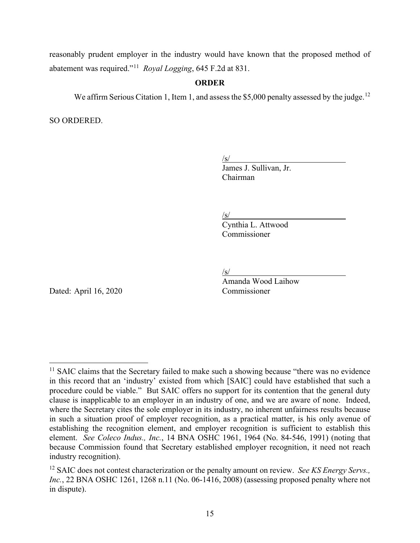reasonably prudent employer in the industry would have known that the proposed method of abatement was required."[11](#page-14-0) *Royal Logging*, 645 F.2d at 831.

# **ORDER**

We affirm Serious Citation 1, Item 1, and assess the \$5,000 penalty assessed by the judge.<sup>[12](#page-14-1)</sup>

SO ORDERED.

 $\sqrt{s/2}$ 

James J. Sullivan, Jr. Chairman

/s/

Cynthia L. Attwood Commissioner

/s/

Dated: April 16, 2020 Commissioner

Amanda Wood Laihow

<span id="page-14-0"></span> $<sup>11</sup>$  SAIC claims that the Secretary failed to make such a showing because "there was no evidence"</sup> in this record that an 'industry' existed from which [SAIC] could have established that such a procedure could be viable." But SAIC offers no support for its contention that the general duty clause is inapplicable to an employer in an industry of one, and we are aware of none. Indeed, where the Secretary cites the sole employer in its industry, no inherent unfairness results because in such a situation proof of employer recognition, as a practical matter, is his only avenue of establishing the recognition element, and employer recognition is sufficient to establish this element. *See Coleco Indus., Inc.*, 14 BNA OSHC 1961, 1964 (No. 84-546, 1991) (noting that because Commission found that Secretary established employer recognition, it need not reach industry recognition).

<span id="page-14-1"></span><sup>12</sup> SAIC does not contest characterization or the penalty amount on review. *See KS Energy Servs., Inc.*, 22 BNA OSHC 1261, 1268 n.11 (No. 06-1416, 2008) (assessing proposed penalty where not in dispute).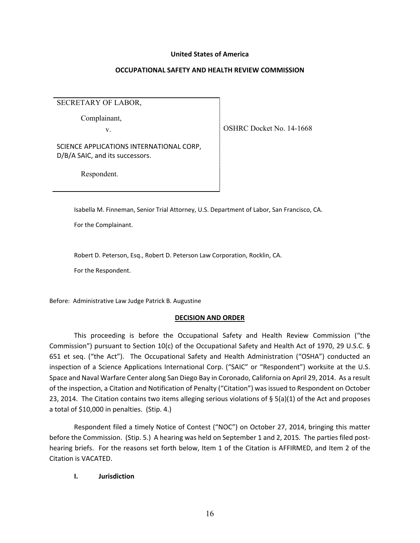#### **United States of America**

#### **OCCUPATIONAL SAFETY AND HEALTH REVIEW COMMISSION**

SECRETARY OF LABOR,

Complainant,

v.

SCIENCE APPLICATIONS INTERNATIONAL CORP, D/B/A SAIC, and its successors.

Respondent.

Isabella M. Finneman, Senior Trial Attorney, U.S. Department of Labor, San Francisco, CA.

For the Complainant.

Robert D. Peterson, Esq., Robert D. Peterson Law Corporation, Rocklin, CA.

For the Respondent.

Before: Administrative Law Judge Patrick B. Augustine

### **DECISION AND ORDER**

This proceeding is before the Occupational Safety and Health Review Commission ("the Commission") pursuant to Section 10(c) of the Occupational Safety and Health Act of 1970, 29 U.S.C. § 651 et seq. ("the Act"). The Occupational Safety and Health Administration ("OSHA") conducted an inspection of a Science Applications International Corp. ("SAIC" or "Respondent") worksite at the U.S. Space and Naval Warfare Center along San Diego Bay in Coronado, California on April 29, 2014. As a result of the inspection, a Citation and Notification of Penalty ("Citation") was issued to Respondent on October 23, 2014. The Citation contains two items alleging serious violations of § 5(a)(1) of the Act and proposes a total of \$10,000 in penalties. (Stip. 4.)

Respondent filed a timely Notice of Contest ("NOC") on October 27, 2014, bringing this matter before the Commission. (Stip. 5.) A hearing was held on September 1 and 2, 2015*.* The parties filed posthearing briefs. For the reasons set forth below, Item 1 of the Citation is AFFIRMED, and Item 2 of the Citation is VACATED.

### **I. Jurisdiction**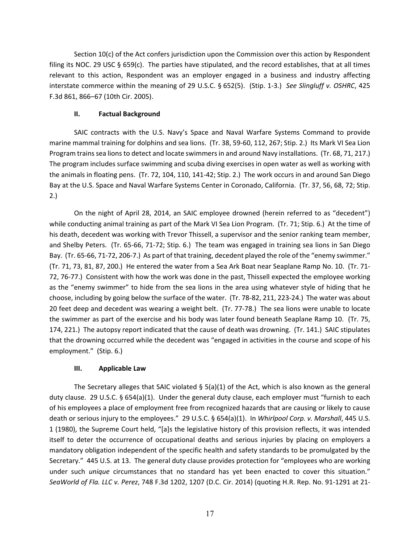Section 10(c) of the Act confers jurisdiction upon the Commission over this action by Respondent filing its NOC. 29 USC  $\S$  659(c). The parties have stipulated, and the record establishes, that at all times relevant to this action, Respondent was an employer engaged in a business and industry affecting interstate commerce within the meaning of 29 U.S.C. § 652(5). (Stip. 1-3.) *See Slingluff v. OSHRC*, 425 F.3d 861, 866–67 (10th Cir. 2005).

## **II. Factual Background**

 SAIC contracts with the U.S. Navy's Space and Naval Warfare Systems Command to provide marine mammal training for dolphins and sea lions. (Tr. 38, 59-60, 112, 267; Stip. 2.) Its Mark VI Sea Lion Program trains sea lions to detect and locate swimmers in and around Navy installations. (Tr. 68, 71, 217.) The program includes surface swimming and scuba diving exercises in open water as well as working with the animals in floating pens. (Tr. 72, 104, 110, 141-42; Stip. 2.) The work occurs in and around San Diego Bay at the U.S. Space and Naval Warfare Systems Center in Coronado, California. (Tr. 37, 56, 68, 72; Stip. 2.)

On the night of April 28, 2014, an SAIC employee drowned (herein referred to as "decedent") while conducting animal training as part of the Mark VI Sea Lion Program. (Tr. 71; Stip. 6.) At the time of his death, decedent was working with Trevor Thissell, a supervisor and the senior ranking team member, and Shelby Peters. (Tr. 65-66, 71-72; Stip. 6.) The team was engaged in training sea lions in San Diego Bay. (Tr. 65-66, 71-72, 206-7.) As part of that training, decedent played the role of the "enemy swimmer." (Tr. 71, 73, 81, 87, 200.) He entered the water from a Sea Ark Boat near Seaplane Ramp No. 10. (Tr. 71- 72, 76-77.) Consistent with how the work was done in the past, Thissell expected the employee working as the "enemy swimmer" to hide from the sea lions in the area using whatever style of hiding that he choose, including by going below the surface of the water. (Tr. 78-82, 211, 223-24.) The water was about 20 feet deep and decedent was wearing a weight belt. (Tr. 77-78.) The sea lions were unable to locate the swimmer as part of the exercise and his body was later found beneath Seaplane Ramp 10. (Tr. 75, 174, 221.) The autopsy report indicated that the cause of death was drowning. (Tr. 141.) SAIC stipulates that the drowning occurred while the decedent was "engaged in activities in the course and scope of his employment." (Stip. 6.)

# **III. Applicable Law**

The Secretary alleges that SAIC violated §  $5(a)(1)$  of the Act, which is also known as the general duty clause. 29 U.S.C. § 654(a)(1). Under the general duty clause, each employer must "furnish to each of his employees a place of employment free from recognized hazards that are causing or likely to cause death or serious injury to the employees." 29 U.S.C. § 654(a)(1). In *Whirlpool Corp. v. Marshall*, 445 U.S. 1 (1980), the Supreme Court held, "[a]s the legislative history of this provision reflects, it was intended itself to deter the occurrence of occupational deaths and serious injuries by placing on employers a mandatory obligation independent of the specific health and safety standards to be promulgated by the Secretary." 445 U.S. at 13. The general duty clause provides protection for "employees who are working under such *unique* circumstances that no standard has yet been enacted to cover this situation." *SeaWorld of Fla. LLC v. Perez*, 748 F.3d 1202, 1207 (D.C. Cir. 2014) (quoting H.R. Rep. No. 91-1291 at 21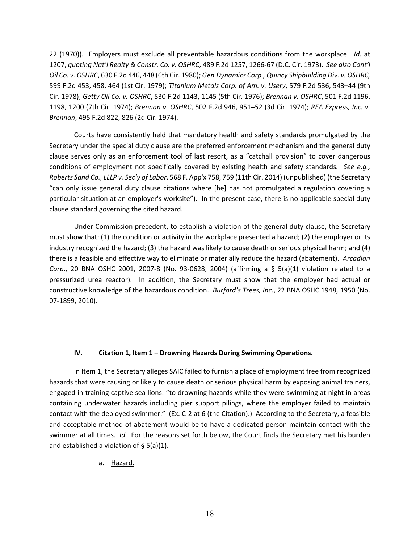22 (1970)). Employers must exclude all preventable hazardous conditions from the workplace. *Id.* at 1207, *quoting Nat'l Realty & Constr. Co. v. OSHRC*, 489 F.2d 1257, 1266-67 (D.C. Cir. 1973). *See also Cont'l Oil Co. v. OSHRC*, 630 F.2d 446, 448 (6th Cir. 1980); *Gen.Dynamics Corp., Quincy Shipbuilding Div. v. OSHRC,* 599 F.2d 453, 458, 464 (1st Cir. 1979); *Titanium Metals Corp. of Am. v. Usery*, 579 F.2d 536, 543–44 (9th Cir. 1978); *Getty Oil Co. v. OSHRC*, 530 F.2d 1143, 1145 (5th Cir. 1976); *Brennan v. OSHRC*, 501 F.2d 1196, 1198, 1200 (7th Cir. 1974); *Brennan v. OSHRC*, 502 F.2d 946, 951–52 (3d Cir. 1974); *REA Express, Inc. v. Brennan*, 495 F.2d 822, 826 (2d Cir. 1974).

Courts have consistently held that mandatory health and safety standards promulgated by the Secretary under the special duty clause are the preferred enforcement mechanism and the general duty clause serves only as an enforcement tool of last resort, as a "catchall provision" to cover dangerous conditions of employment not specifically covered by existing health and safety standards*. See e.g., Roberts Sand Co., LLLP v. Sec'y of Labor*, 568 F. App'x 758, 759 (11th Cir. 2014) (unpublished) (the Secretary "can only issue general duty clause citations where [he] has not promulgated a regulation covering a particular situation at an employer's worksite"). In the present case, there is no applicable special duty clause standard governing the cited hazard.

Under Commission precedent, to establish a violation of the general duty clause, the Secretary must show that: (1) the condition or activity in the workplace presented a hazard; (2) the employer or its industry recognized the hazard; (3) the hazard was likely to cause death or serious physical harm; and (4) there is a feasible and effective way to eliminate or materially reduce the hazard (abatement). *Arcadian Corp*., 20 BNA OSHC 2001, 2007-8 (No. 93-0628, 2004) (affirming a § 5(a)(1) violation related to a pressurized urea reactor). In addition, the Secretary must show that the employer had actual or constructive knowledge of the hazardous condition. *Burford's Trees, Inc*., 22 BNA OSHC 1948, 1950 (No. 07-1899, 2010).

### **IV. Citation 1, Item 1 – Drowning Hazards During Swimming Operations.**

In Item 1, the Secretary alleges SAIC failed to furnish a place of employment free from recognized hazards that were causing or likely to cause death or serious physical harm by exposing animal trainers, engaged in training captive sea lions: "to drowning hazards while they were swimming at night in areas containing underwater hazards including pier support pilings, where the employer failed to maintain contact with the deployed swimmer." (Ex. C-2 at 6 (the Citation).) According to the Secretary, a feasible and acceptable method of abatement would be to have a dedicated person maintain contact with the swimmer at all times. *Id.* For the reasons set forth below, the Court finds the Secretary met his burden and established a violation of § 5(a)(1).

a. Hazard.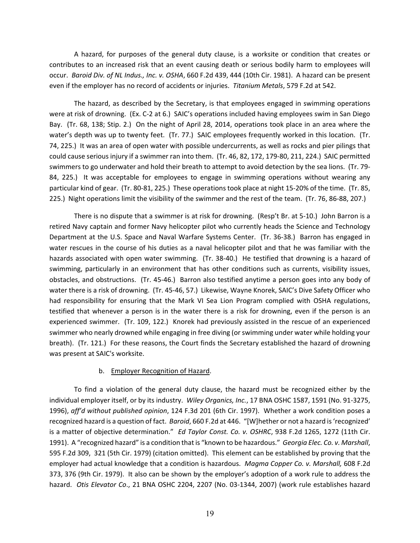A hazard, for purposes of the general duty clause, is a worksite or condition that creates or contributes to an increased risk that an event causing death or serious bodily harm to employees will occur. *Baroid Div. of NL Indus., Inc. v. OSHA*, 660 F.2d 439, 444 (10th Cir. 1981). A hazard can be present even if the employer has no record of accidents or injuries. *Titanium Metals*, 579 F.2d at 542.

The hazard, as described by the Secretary, is that employees engaged in swimming operations were at risk of drowning. (Ex. C-2 at 6.) SAIC's operations included having employees swim in San Diego Bay. (Tr. 68, 138; Stip. 2.) On the night of April 28, 2014, operations took place in an area where the water's depth was up to twenty feet. (Tr. 77.) SAIC employees frequently worked in this location. (Tr. 74, 225.) It was an area of open water with possible undercurrents, as well as rocks and pier pilings that could cause serious injury if a swimmer ran into them. (Tr. 46, 82, 172, 179-80, 211, 224.) SAIC permitted swimmers to go underwater and hold their breath to attempt to avoid detection by the sea lions. (Tr. 79- 84, 225.) It was acceptable for employees to engage in swimming operations without wearing any particular kind of gear. (Tr. 80-81, 225.) These operations took place at night 15-20% of the time. (Tr. 85, 225.) Night operations limit the visibility of the swimmer and the rest of the team. (Tr. 76, 86-88, 207.)

There is no dispute that a swimmer is at risk for drowning. (Resp't Br. at 5-10.) John Barron is a retired Navy captain and former Navy helicopter pilot who currently heads the Science and Technology Department at the U.S. Space and Naval Warfare Systems Center. (Tr. 36-38.) Barron has engaged in water rescues in the course of his duties as a naval helicopter pilot and that he was familiar with the hazards associated with open water swimming. (Tr. 38-40.) He testified that drowning is a hazard of swimming, particularly in an environment that has other conditions such as currents, visibility issues, obstacles, and obstructions. (Tr. 45-46.) Barron also testified anytime a person goes into any body of water there is a risk of drowning. (Tr. 45-46, 57.) Likewise, Wayne Knorek, SAIC's Dive Safety Officer who had responsibility for ensuring that the Mark VI Sea Lion Program complied with OSHA regulations, testified that whenever a person is in the water there is a risk for drowning, even if the person is an experienced swimmer. (Tr. 109, 122.) Knorek had previously assisted in the rescue of an experienced swimmer who nearly drowned while engaging in free diving (or swimming under water while holding your breath). (Tr. 121.) For these reasons, the Court finds the Secretary established the hazard of drowning was present at SAIC's worksite.

#### b. Employer Recognition of Hazard.

To find a violation of the general duty clause, the hazard must be recognized either by the individual employer itself, or by its industry. *Wiley Organics, Inc.*, 17 BNA OSHC 1587, 1591 (No. 91-3275, 1996), *aff'd without published opinion*, 124 F.3d 201 (6th Cir. 1997). Whether a work condition poses a recognized hazard is a question of fact. *Baroid*, 660 F.2d at 446. "[W]hether or not a hazard is 'recognized' is a matter of objective determination." *Ed Taylor Const. Co. v. OSHRC*, 938 F.2d 1265, 1272 (11th Cir. 1991). A "recognized hazard" is a condition that is "known to be hazardous." *Georgia Elec. Co. v. Marshall*, 595 F.2d 309, 321 (5th Cir. 1979) (citation omitted). This element can be established by proving that the employer had actual knowledge that a condition is hazardous. *Magma Copper Co. v. Marshall,* 608 F.2d 373, 376 (9th Cir. 1979). It also can be shown by the employer's adoption of a work rule to address the hazard. *Otis Elevator Co*., 21 BNA OSHC 2204, 2207 (No. 03-1344, 2007) (work rule establishes hazard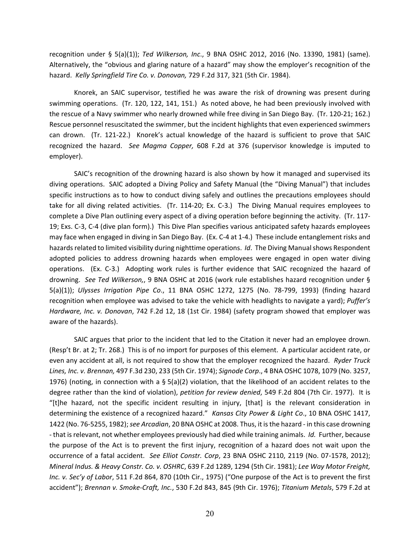recognition under § 5(a)(1)); *Ted Wilkerson, Inc*., 9 BNA OSHC 2012, 2016 (No. 13390, 1981) (same). Alternatively, the "obvious and glaring nature of a hazard" may show the employer's recognition of the hazard. *Kelly Springfield Tire Co. v. Donovan,* 729 F.2d 317, 321 (5th Cir. 1984).

Knorek, an SAIC supervisor, testified he was aware the risk of drowning was present during swimming operations. (Tr. 120, 122, 141, 151.) As noted above, he had been previously involved with the rescue of a Navy swimmer who nearly drowned while free diving in San Diego Bay. (Tr. 120-21; 162.) Rescue personnel resuscitated the swimmer, but the incident highlights that even experienced swimmers can drown. (Tr. 121-22.) Knorek's actual knowledge of the hazard is sufficient to prove that SAIC recognized the hazard. *See Magma Copper,* 608 F.2d at 376 (supervisor knowledge is imputed to employer).

SAIC's recognition of the drowning hazard is also shown by how it managed and supervised its diving operations. SAIC adopted a Diving Policy and Safety Manual (the "Diving Manual") that includes specific instructions as to how to conduct diving safely and outlines the precautions employees should take for all diving related activities. (Tr. 114-20; Ex. C-3.) The Diving Manual requires employees to complete a Dive Plan outlining every aspect of a diving operation before beginning the activity. (Tr. 117- 19; Exs. C-3, C-4 (dive plan form).) This Dive Plan specifies various anticipated safety hazards employees may face when engaged in diving in San Diego Bay. (Ex. C-4 at 1-4.) These include entanglement risks and hazards related to limited visibility during nighttime operations. *Id*. The Diving Manual shows Respondent adopted policies to address drowning hazards when employees were engaged in open water diving operations. (Ex. C-3.) Adopting work rules is further evidence that SAIC recognized the hazard of drowning. *See Ted Wilkerson,*, 9 BNA OSHC at 2016 (work rule establishes hazard recognition under § 5(a)(1)); *Ulysses Irrigation Pipe Co*., 11 BNA OSHC 1272, 1275 (No. 78-799, 1993) (finding hazard recognition when employee was advised to take the vehicle with headlights to navigate a yard); *Puffer's Hardware, Inc. v. Donovan*, 742 F.2d 12, 18 (1st Cir. 1984) (safety program showed that employer was aware of the hazards).

SAIC argues that prior to the incident that led to the Citation it never had an employee drown. (Resp't Br. at 2; Tr. 268.) This is of no import for purposes of this element. A particular accident rate, or even any accident at all, is not required to show that the employer recognized the hazard. *Ryder Truck Lines, Inc. v. Brennan,* 497 F.3d 230, 233 (5th Cir. 1974); *Signode Corp*., 4 BNA OSHC 1078, 1079 (No. 3257, 1976) (noting, in connection with a § 5(a)(2) violation, that the likelihood of an accident relates to the degree rather than the kind of violation), *petition for review denied*, 549 F.2d 804 (7th Cir. 1977). It is "[t]he hazard, not the specific incident resulting in injury, [that] is the relevant consideration in determining the existence of a recognized hazard." *Kansas City Power & Light Co*., 10 BNA OSHC 1417, 1422 (No. 76-5255, 1982); *see Arcadian*, 20 BNA OSHC at 2008. Thus, it is the hazard - in this case drowning - that is relevant, not whether employees previously had died while training animals. *Id.* Further, because the purpose of the Act is to prevent the first injury, recognition of a hazard does not wait upon the occurrence of a fatal accident. *See Elliot Constr. Corp*, 23 BNA OSHC 2110, 2119 (No. 07-1578, 2012); *Mineral Indus. & Heavy Constr. Co. v. OSHRC*, 639 F.2d 1289, 1294 (5th Cir. 1981); *Lee Way Motor Freight, Inc. v. Sec'y of Labor*, 511 F.2d 864, 870 (10th Cir., 1975) ("One purpose of the Act is to prevent the first accident"); *Brennan v. Smoke-Craft, Inc.*, 530 F.2d 843, 845 (9th Cir. 1976); *Titanium Metals*, 579 F.2d at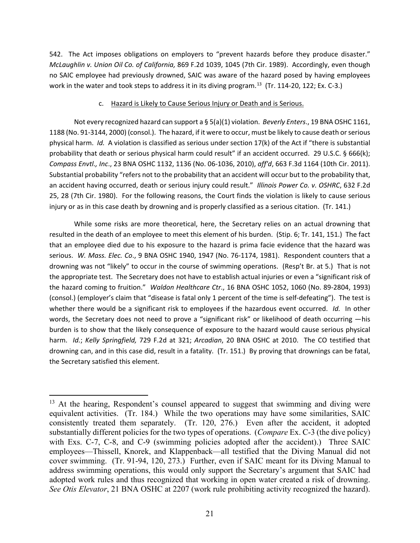542. The Act imposes obligations on employers to "prevent hazards before they produce disaster." *McLaughlin v. Union Oil Co. of California,* 869 F.2d 1039, 1045 (7th Cir. 1989). Accordingly, even though no SAIC employee had previously drowned, SAIC was aware of the hazard posed by having employees work in the water and took steps to address it in its diving program.<sup>13</sup> (Tr. 114-20, 122; Ex. C-3.)

### c. Hazard is Likely to Cause Serious Injury or Death and is Serious.

Not every recognized hazard can support a § 5(a)(1) violation. *Beverly Enters*., 19 BNA OSHC 1161, 1188 (No. 91-3144, 2000) (consol.). The hazard, if it were to occur, must be likely to cause death or serious physical harm. *Id.* A violation is classified as serious under section 17(k) of the Act if "there is substantial probability that death or serious physical harm could result" if an accident occurred. 29 U.S.C. § 666(k); *Compass Envtl., Inc*., 23 BNA OSHC 1132, 1136 (No. 06-1036, 2010), *aff'd*, 663 F.3d 1164 (10th Cir. 2011). Substantial probability "refers not to the probability that an accident will occur but to the probability that, an accident having occurred, death or serious injury could result." *Illinois Power Co. v. OSHRC*, 632 F.2d 25, 28 (7th Cir. 1980). For the following reasons, the Court finds the violation is likely to cause serious injury or as in this case death by drowning and is properly classified as a serious citation. (Tr. 141.)

While some risks are more theoretical, here, the Secretary relies on an actual drowning that resulted in the death of an employee to meet this element of his burden. (Stip. 6; Tr. 141, 151.) The fact that an employee died due to his exposure to the hazard is prima facie evidence that the hazard was serious. *W. Mass. Elec. Co*., 9 BNA OSHC 1940, 1947 (No. 76-1174, 1981). Respondent counters that a drowning was not "likely" to occur in the course of swimming operations. (Resp't Br. at 5.) That is not the appropriate test. The Secretary does not have to establish actual injuries or even a "significant risk of the hazard coming to fruition." *Waldon Healthcare Ctr*., 16 BNA OSHC 1052, 1060 (No. 89-2804, 1993) (consol.) (employer's claim that "disease is fatal only 1 percent of the time is self-defeating"). The test is whether there would be a significant risk to employees if the hazardous event occurred. *Id.* In other words, the Secretary does not need to prove a "significant risk" or likelihood of death occurring —his burden is to show that the likely consequence of exposure to the hazard would cause serious physical harm. *Id.*; *Kelly Springfield,* 729 F.2d at 321; *Arcadian*, 20 BNA OSHC at 2010. The CO testified that drowning can, and in this case did, result in a fatality. (Tr. 151.) By proving that drownings can be fatal, the Secretary satisfied this element.

<span id="page-20-0"></span> $13$  At the hearing, Respondent's counsel appeared to suggest that swimming and diving were equivalent activities. (Tr. 184.) While the two operations may have some similarities, SAIC consistently treated them separately. (Tr. 120, 276.) Even after the accident, it adopted substantially different policies for the two types of operations. (*Compare* Ex. C-3 (the dive policy) with Exs. C-7, C-8, and C-9 (swimming policies adopted after the accident).) Three SAIC employees—Thissell, Knorek, and Klappenback—all testified that the Diving Manual did not cover swimming. (Tr. 91-94, 120, 273.) Further, even if SAIC meant for its Diving Manual to address swimming operations, this would only support the Secretary's argument that SAIC had adopted work rules and thus recognized that working in open water created a risk of drowning. *See Otis Elevator*, 21 BNA OSHC at 2207 (work rule prohibiting activity recognized the hazard).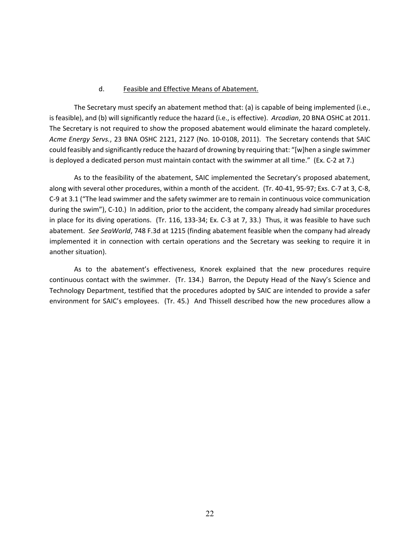#### d. Feasible and Effective Means of Abatement.

The Secretary must specify an abatement method that: (a) is capable of being implemented (i.e., is feasible), and (b) will significantly reduce the hazard (i.e., is effective). *Arcadian*, 20 BNA OSHC at 2011. The Secretary is not required to show the proposed abatement would eliminate the hazard completely. *Acme Energy Servs.*, 23 BNA OSHC 2121, 2127 (No. 10-0108, 2011). The Secretary contends that SAIC could feasibly and significantly reduce the hazard of drowning by requiring that: "[w]hen a single swimmer is deployed a dedicated person must maintain contact with the swimmer at all time." (Ex. C-2 at 7.)

As to the feasibility of the abatement, SAIC implemented the Secretary's proposed abatement, along with several other procedures, within a month of the accident. (Tr. 40-41, 95-97; Exs. C-7 at 3, C-8, C-9 at 3.1 ("The lead swimmer and the safety swimmer are to remain in continuous voice communication during the swim"), C-10.) In addition, prior to the accident, the company already had similar procedures in place for its diving operations. (Tr. 116, 133-34; Ex. C-3 at 7, 33.) Thus, it was feasible to have such abatement. *See SeaWorld*, 748 F.3d at 1215 (finding abatement feasible when the company had already implemented it in connection with certain operations and the Secretary was seeking to require it in another situation).

As to the abatement's effectiveness, Knorek explained that the new procedures require continuous contact with the swimmer. (Tr. 134.) Barron, the Deputy Head of the Navy's Science and Technology Department, testified that the procedures adopted by SAIC are intended to provide a safer environment for SAIC's employees. (Tr. 45.) And Thissell described how the new procedures allow a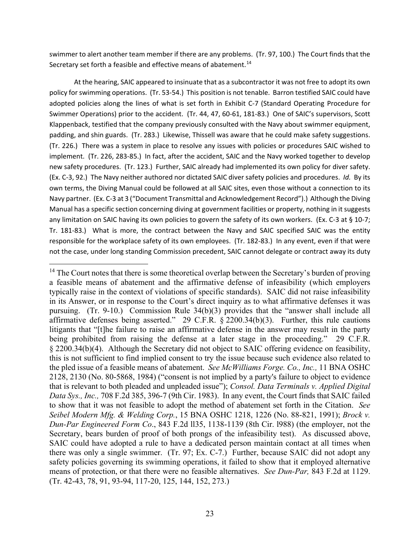swimmer to alert another team member if there are any problems. (Tr. 97, 100.) The Court finds that the Secretary set forth a feasible and effective means of abatement.<sup>[14](#page-22-0)</sup>

At the hearing, SAIC appeared to insinuate that as a subcontractor it was not free to adopt its own policy for swimming operations. (Tr. 53-54.) This position is not tenable. Barron testified SAIC could have adopted policies along the lines of what is set forth in Exhibit C-7 (Standard Operating Procedure for Swimmer Operations) prior to the accident. (Tr. 44, 47, 60-61, 181-83.) One of SAIC's supervisors, Scott Klappenback, testified that the company previously consulted with the Navy about swimmer equipment, padding, and shin guards. (Tr. 283.) Likewise, Thissell was aware that he could make safety suggestions. (Tr. 226.) There was a system in place to resolve any issues with policies or procedures SAIC wished to implement. (Tr. 226, 283-85.) In fact, after the accident, SAIC and the Navy worked together to develop new safety procedures. (Tr. 123.) Further, SAIC already had implemented its own policy for diver safety. (Ex. C-3, 92.) The Navy neither authored nor dictated SAIC diver safety policies and procedures. *Id.* By its own terms, the Diving Manual could be followed at all SAIC sites, even those without a connection to its Navy partner. (Ex. C-3 at 3 ("Document Transmittal and Acknowledgement Record").) Although the Diving Manual has a specific section concerning diving at government facilities or property, nothing in it suggests any limitation on SAIC having its own policies to govern the safety of its own workers. (Ex. C-3 at § 10-7; Tr. 181-83.) What is more, the contract between the Navy and SAIC specified SAIC was the entity responsible for the workplace safety of its own employees. (Tr. 182-83.) In any event, even if that were not the case, under long standing Commission precedent, SAIC cannot delegate or contract away its duty

<span id="page-22-0"></span> $14$  The Court notes that there is some theoretical overlap between the Secretary's burden of proving a feasible means of abatement and the affirmative defense of infeasibility (which employers typically raise in the context of violations of specific standards). SAIC did not raise infeasibility in its Answer, or in response to the Court's direct inquiry as to what affirmative defenses it was pursuing. (Tr. 9-10.) Commission Rule 34(b)(3) provides that the "answer shall include all affirmative defenses being asserted." 29 C.F.R. § 2200.34(b)(3). Further, this rule cautions litigants that "[t]he failure to raise an affirmative defense in the answer may result in the party being prohibited from raising the defense at a later stage in the proceeding." 29 C.F.R. § 2200.34(b)(4). Although the Secretary did not object to SAIC offering evidence on feasibility, this is not sufficient to find implied consent to try the issue because such evidence also related to the pled issue of a feasible means of abatement. *See McWilliams Forge. Co., Inc.,* 11 BNA OSHC 2128, 2130 (No. 80-5868, 1984) ("consent is not implied by a party's failure to object to evidence that is relevant to both pleaded and unpleaded issue"); *Consol. Data Terminals v. Applied Digital Data Sys., Inc.,* 708 F.2d 385, 396-7 (9th Cir. 1983). In any event, the Court finds that SAIC failed to show that it was not feasible to adopt the method of abatement set forth in the Citation. *See Seibel Modern Mfg. & Welding Corp.*, 15 BNA OSHC 1218, 1226 (No. 88-821, 1991); *Brock v. Dun-Par Engineered Form Co*., 843 F.2d ll35, 1138-1139 (8th Cir. l988) (the employer, not the Secretary, bears burden of proof of both prongs of the infeasibility test). As discussed above, SAIC could have adopted a rule to have a dedicated person maintain contact at all times when there was only a single swimmer. (Tr. 97; Ex. C-7.) Further, because SAIC did not adopt any safety policies governing its swimming operations, it failed to show that it employed alternative means of protection, or that there were no feasible alternatives. *See Dun-Par,* 843 F.2d at 1129. (Tr. 42-43, 78, 91, 93-94, 117-20, 125, 144, 152, 273.)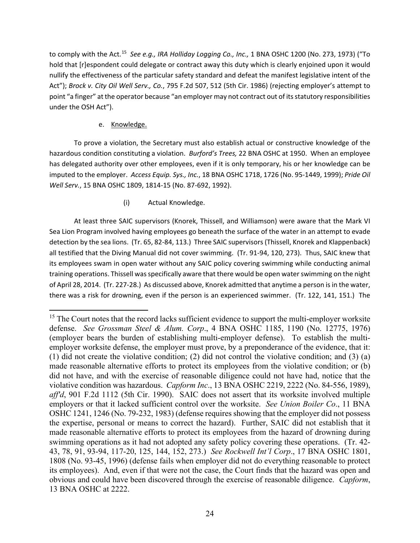to comply with the Act.[15](#page-23-0) *See e.g., IRA Holliday Logging Co., Inc.,* 1 BNA OSHC 1200 (No. 273, 1973) ("To hold that [r]espondent could delegate or contract away this duty which is clearly enjoined upon it would nullify the effectiveness of the particular safety standard and defeat the manifest legislative intent of the Act"); *Brock v. City Oil Well Serv., Co.*, 795 F.2d 507, 512 (5th Cir. 1986) (rejecting employer's attempt to point "a finger" at the operator because "an employer may not contract out of its statutory responsibilities under the OSH Act").

# e. Knowledge.

To prove a violation, the Secretary must also establish actual or constructive knowledge of the hazardous condition constituting a violation. *Burford's Trees,* 22 BNA OSHC at 1950. When an employee has delegated authority over other employees, even if it is only temporary, his or her knowledge can be imputed to the employer. *Access Equip. Sys., Inc.*, 18 BNA OSHC 1718, 1726 (No. 95-1449, 1999); *Pride Oil Well Serv.*, 15 BNA OSHC 1809, 1814-15 (No. 87-692, 1992).

# (i) Actual Knowledge.

At least three SAIC supervisors (Knorek, Thissell, and Williamson) were aware that the Mark VI Sea Lion Program involved having employees go beneath the surface of the water in an attempt to evade detection by the sea lions. (Tr. 65, 82-84, 113.) Three SAIC supervisors (Thissell, Knorek and Klappenback) all testified that the Diving Manual did not cover swimming. (Tr. 91-94, 120, 273). Thus, SAIC knew that its employees swam in open water without any SAIC policy covering swimming while conducting animal training operations. Thissell was specifically aware that there would be open water swimming on the night of April 28, 2014. (Tr. 227-28.) As discussed above, Knorek admitted that anytime a person is in the water, there was a risk for drowning, even if the person is an experienced swimmer. (Tr. 122, 141, 151.) The

<span id="page-23-0"></span><sup>&</sup>lt;sup>15</sup> The Court notes that the record lacks sufficient evidence to support the multi-employer worksite defense. *See Grossman Steel & Alum. Corp*., 4 BNA OSHC 1185, 1190 (No. 12775, 1976) (employer bears the burden of establishing multi-employer defense). To establish the multiemployer worksite defense, the employer must prove, by a preponderance of the evidence, that it: (1) did not create the violative condition; (2) did not control the violative condition; and (3) (a) made reasonable alternative efforts to protect its employees from the violative condition; or (b) did not have, and with the exercise of reasonable diligence could not have had, notice that the violative condition was hazardous. *Capform Inc*., 13 BNA OSHC 2219, 2222 (No. 84-556, 1989), *aff'd*, 901 F.2d 1112 (5th Cir. 1990). SAIC does not assert that its worksite involved multiple employers or that it lacked sufficient control over the worksite. *See Union Boiler Co*., 11 BNA OSHC 1241, 1246 (No. 79-232, 1983) (defense requires showing that the employer did not possess the expertise, personal or means to correct the hazard). Further, SAIC did not establish that it made reasonable alternative efforts to protect its employees from the hazard of drowning during swimming operations as it had not adopted any safety policy covering these operations. (Tr. 42- 43, 78, 91, 93-94, 117-20, 125, 144, 152, 273.) *See Rockwell Int'l Corp*., 17 BNA OSHC 1801, 1808 (No. 93-45, 1996) (defense fails when employer did not do everything reasonable to protect its employees). And, even if that were not the case, the Court finds that the hazard was open and obvious and could have been discovered through the exercise of reasonable diligence. *Capform*, 13 BNA OSHC at 2222.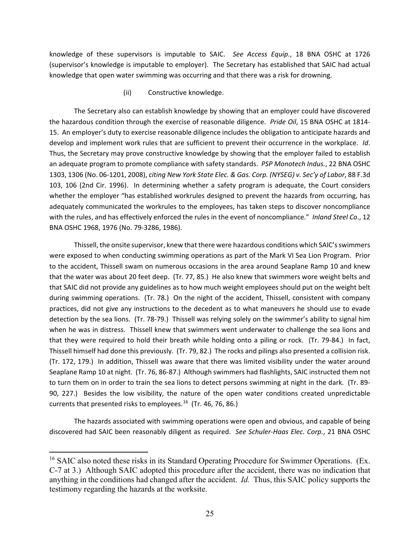knowledge of these supervisors is imputable to SAIC. *See Access Equip.*, 18 BNA OSHC at 1726 (supervisor's knowledge is imputable to employer). The Secretary has established that SAIC had actual knowledge that open water swimming was occurring and that there was a risk for drowning.

(ii) Constructive knowledge.

The Secretary also can establish knowledge by showing that an employer could have discovered the hazardous condition through the exercise of reasonable diligence. *Pride Oil*, 15 BNA OSHC at 1814- 15. An employer's duty to exercise reasonable diligence includes the obligation to anticipate hazards and develop and implement work rules that are sufficient to prevent their occurrence in the workplace. *Id*. Thus, the Secretary may prove constructive knowledge by showing that the employer failed to establish an adequate program to promote compliance with safety standards. *PSP Monotech Indus.*, 22 BNA OSHC 1303, 1306 (No. 06-1201, 2008), *citing New York State Elec. & Gas. Corp. (NYSEG) v. Sec'y of Labor*, 88 F.3d 103, 106 (2nd Cir. 1996). In determining whether a safety program is adequate, the Court considers whether the employer "has established workrules designed to prevent the hazards from occurring, has adequately communicated the workrules to the employees, has taken steps to discover noncompliance with the rules, and has effectively enforced the rules in the event of noncompliance." *Inland Steel Co*., 12 BNA OSHC 1968, 1976 (No. 79-3286, 1986).

Thissell, the onsite supervisor, knew that there were hazardous conditions which SAIC's swimmers were exposed to when conducting swimming operations as part of the Mark VI Sea Lion Program. Prior to the accident, Thissell swam on numerous occasions in the area around Seaplane Ramp 10 and knew that the water was about 20 feet deep. (Tr. 77, 85.) He also knew that swimmers wore weight belts and that SAIC did not provide any guidelines as to how much weight employees should put on the weight belt during swimming operations. (Tr. 78.) On the night of the accident, Thissell, consistent with company practices, did not give any instructions to the decedent as to what maneuvers he should use to evade detection by the sea lions. (Tr. 78-79.) Thissell was relying solely on the swimmer's ability to signal him when he was in distress. Thissell knew that swimmers went underwater to challenge the sea lions and that they were required to hold their breath while holding onto a piling or rock. (Tr. 79-84.) In fact, Thissell himself had done this previously. (Tr. 79, 82.) The rocks and pilings also presented a collision risk. (Tr. 172, 179.) In addition, Thissell was aware that there was limited visibility under the water around Seaplane Ramp 10 at night. (Tr. 76, 86-87.) Although swimmers had flashlights, SAIC instructed them not to turn them on in order to train the sea lions to detect persons swimming at night in the dark. (Tr. 89- 90, 227.) Besides the low visibility, the nature of the open water conditions created unpredictable currents that presented risks to employees. [16](#page-24-0) (Tr. 46, 76, 86.)

The hazards associated with swimming operations were open and obvious, and capable of being discovered had SAIC been reasonably diligent as required. *See Schuler-Haas Elec. Corp.*, 21 BNA OSHC

<span id="page-24-0"></span><sup>&</sup>lt;sup>16</sup> SAIC also noted these risks in its Standard Operating Procedure for Swimmer Operations. (Ex. C-7 at 3.) Although SAIC adopted this procedure after the accident, there was no indication that anything in the conditions had changed after the accident. *Id.* Thus, this SAIC policy supports the testimony regarding the hazards at the worksite.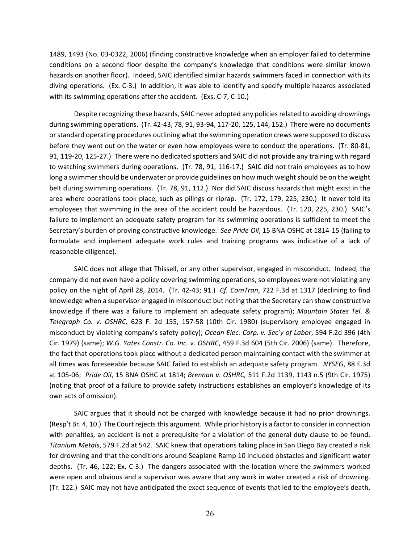1489, 1493 (No. 03-0322, 2006) (finding constructive knowledge when an employer failed to determine conditions on a second floor despite the company's knowledge that conditions were similar known hazards on another floor). Indeed, SAIC identified similar hazards swimmers faced in connection with its diving operations. (Ex. C-3.) In addition, it was able to identify and specify multiple hazards associated with its swimming operations after the accident. (Exs. C-7, C-10.)

Despite recognizing these hazards, SAIC never adopted any policies related to avoiding drownings during swimming operations. (Tr. 42-43, 78, 91, 93-94, 117-20, 125, 144, 152.) There were no documents or standard operating procedures outlining what the swimming operation crews were supposed to discuss before they went out on the water or even how employees were to conduct the operations. (Tr. 80-81, 91, 119-20, 125-27.) There were no dedicated spotters and SAIC did not provide any training with regard to watching swimmers during operations. (Tr. 78, 91, 116-17.) SAIC did not train employees as to how long a swimmer should be underwater or provide guidelines on how much weight should be on the weight belt during swimming operations. (Tr. 78, 91, 112.) Nor did SAIC discuss hazards that might exist in the area where operations took place, such as pilings or riprap. (Tr. 172, 179, 225, 230.) It never told its employees that swimming in the area of the accident could be hazardous. (Tr. 120, 225, 230.) SAIC's failure to implement an adequate safety program for its swimming operations is sufficient to meet the Secretary's burden of proving constructive knowledge. *See Pride Oil*, 15 BNA OSHC at 1814-15 (failing to formulate and implement adequate work rules and training programs was indicative of a lack of reasonable diligence).

SAIC does not allege that Thissell, or any other supervisor, engaged in misconduct. Indeed, the company did not even have a policy covering swimming operations, so employees were not violating any policy on the night of April 28, 2014. (Tr. 42-43; 91.) *Cf. ComTran*, 722 F.3d at 1317 (declining to find knowledge when a supervisor engaged in misconduct but noting that the Secretary can show constructive knowledge if there was a failure to implement an adequate safety program); *Mountain States Tel. & Telegraph Co. v. OSHRC,* 623 F. 2d 155, 157-58 (10th Cir. 1980) (supervisory employee engaged in misconduct by violating company's safety policy); *Ocean Elec. Corp. v. Sec'y of Labor*, 594 F.2d 396 (4th Cir. 1979) (same); *W.G. Yates Constr. Co. Inc. v. OSHRC*, 459 F.3d 604 (5th Cir. 2006) (same). Therefore, the fact that operations took place without a dedicated person maintaining contact with the swimmer at all times was foreseeable because SAIC failed to establish an adequate safety program. *NYSEG*, 88 F.3d at 105-06; *Pride Oil*, 15 BNA OSHC at 1814; *Brennan v. OSHRC,* 511 F.2d 1139, 1143 n.5 (9th Cir. 1975) (noting that proof of a failure to provide safety instructions establishes an employer's knowledge of its own acts of omission).

SAIC argues that it should not be charged with knowledge because it had no prior drownings. (Resp't Br. 4, 10.) The Court rejects this argument. While prior history is a factor to consider in connection with penalties, an accident is not a prerequisite for a violation of the general duty clause to be found. *Titanium Metals*, 579 F.2d at 542. SAIC knew that operations taking place in San Diego Bay created a risk for drowning and that the conditions around Seaplane Ramp 10 included obstacles and significant water depths. (Tr. 46, 122; Ex. C-3.) The dangers associated with the location where the swimmers worked were open and obvious and a supervisor was aware that any work in water created a risk of drowning. (Tr. 122.) SAIC may not have anticipated the exact sequence of events that led to the employee's death,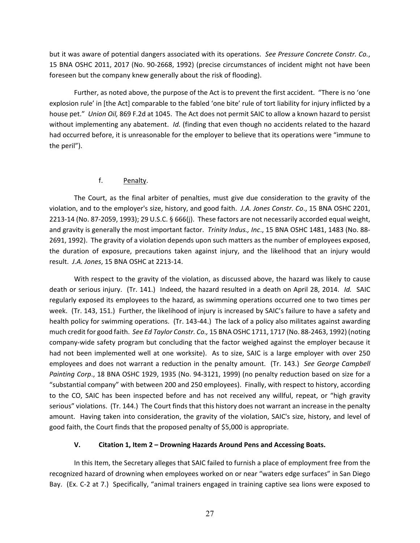but it was aware of potential dangers associated with its operations. *See Pressure Concrete Constr. Co.*, 15 BNA OSHC 2011, 2017 (No. 90-2668, 1992) (precise circumstances of incident might not have been foreseen but the company knew generally about the risk of flooding).

Further, as noted above, the purpose of the Act is to prevent the first accident. "There is no 'one explosion rule' in [the Act] comparable to the fabled 'one bite' rule of tort liability for injury inflicted by a house pet." *Union Oil,* 869 F.2d at 1045. The Act does not permit SAIC to allow a known hazard to persist without implementing any abatement. *Id.* (finding that even though no accidents related to the hazard had occurred before, it is unreasonable for the employer to believe that its operations were "immune to the peril").

# f. Penalty.

The Court, as the final arbiter of penalties, must give due consideration to the gravity of the violation, and to the employer's size, history, and good faith. *J.A. Jones Constr. Co*., 15 BNA OSHC 2201, 2213-14 (No. 87-2059, 1993); 29 U.S.C. § 666(j). These factors are not necessarily accorded equal weight, and gravity is generally the most important factor. *Trinity Indus., Inc*., 15 BNA OSHC 1481, 1483 (No. 88- 2691, 1992). The gravity of a violation depends upon such matters as the number of employees exposed, the duration of exposure, precautions taken against injury, and the likelihood that an injury would result. *J.A. Jones*, 15 BNA OSHC at 2213-14.

With respect to the gravity of the violation, as discussed above, the hazard was likely to cause death or serious injury. (Tr. 141.) Indeed, the hazard resulted in a death on April 28, 2014. *Id.* SAIC regularly exposed its employees to the hazard, as swimming operations occurred one to two times per week. (Tr. 143, 151.) Further, the likelihood of injury is increased by SAIC's failure to have a safety and health policy for swimming operations. (Tr. 143-44.) The lack of a policy also militates against awarding much credit for good faith. *See Ed Taylor Constr. Co.,* 15 BNA OSHC 1711, 1717 (No. 88-2463, 1992) (noting company-wide safety program but concluding that the factor weighed against the employer because it had not been implemented well at one worksite). As to size, SAIC is a large employer with over 250 employees and does not warrant a reduction in the penalty amount. (Tr. 143.) *See George Campbell Painting Corp*., 18 BNA OSHC 1929, 1935 (No. 94-3121, 1999) (no penalty reduction based on size for a "substantial company" with between 200 and 250 employees). Finally, with respect to history, according to the CO, SAIC has been inspected before and has not received any willful, repeat, or "high gravity serious" violations. (Tr. 144.) The Court finds that this history does not warrant an increase in the penalty amount. Having taken into consideration, the gravity of the violation, SAIC's size, history, and level of good faith, the Court finds that the proposed penalty of \$5,000 is appropriate.

# **V. Citation 1, Item 2 – Drowning Hazards Around Pens and Accessing Boats.**

In this Item, the Secretary alleges that SAIC failed to furnish a place of employment free from the recognized hazard of drowning when employees worked on or near "waters edge surfaces" in San Diego Bay. (Ex. C-2 at 7.) Specifically, "animal trainers engaged in training captive sea lions were exposed to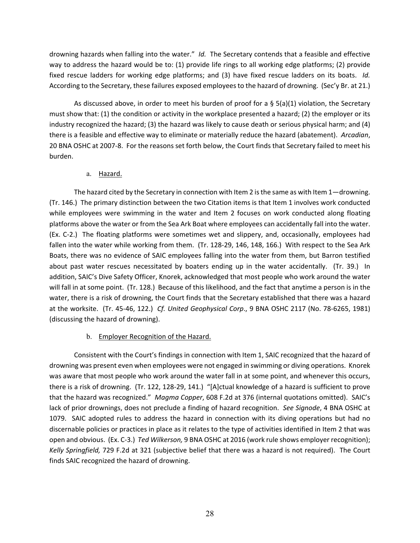drowning hazards when falling into the water." *Id.* The Secretary contends that a feasible and effective way to address the hazard would be to: (1) provide life rings to all working edge platforms; (2) provide fixed rescue ladders for working edge platforms; and (3) have fixed rescue ladders on its boats. *Id.* According to the Secretary, these failures exposed employees to the hazard of drowning. (Sec'y Br. at 21.)

As discussed above, in order to meet his burden of proof for a  $\S$  5(a)(1) violation, the Secretary must show that: (1) the condition or activity in the workplace presented a hazard; (2) the employer or its industry recognized the hazard; (3) the hazard was likely to cause death or serious physical harm; and (4) there is a feasible and effective way to eliminate or materially reduce the hazard (abatement). *Arcadian*, 20 BNA OSHC at 2007-8. For the reasons set forth below, the Court finds that Secretary failed to meet his burden.

# a. Hazard.

The hazard cited by the Secretary in connection with Item 2 is the same as with Item 1—drowning. (Tr. 146.) The primary distinction between the two Citation items is that Item 1 involves work conducted while employees were swimming in the water and Item 2 focuses on work conducted along floating platforms above the water or from the Sea Ark Boat where employees can accidentally fall into the water. (Ex. C-2.) The floating platforms were sometimes wet and slippery, and, occasionally, employees had fallen into the water while working from them. (Tr. 128-29, 146, 148, 166.) With respect to the Sea Ark Boats, there was no evidence of SAIC employees falling into the water from them, but Barron testified about past water rescues necessitated by boaters ending up in the water accidentally. (Tr. 39.) In addition, SAIC's Dive Safety Officer, Knorek, acknowledged that most people who work around the water will fall in at some point. (Tr. 128.) Because of this likelihood, and the fact that anytime a person is in the water, there is a risk of drowning, the Court finds that the Secretary established that there was a hazard at the worksite. (Tr. 45-46, 122.) *Cf. United Geophysical Corp*., 9 BNA OSHC 2117 (No. 78-6265, 1981) (discussing the hazard of drowning).

# b. Employer Recognition of the Hazard.

Consistent with the Court's findings in connection with Item 1, SAIC recognized that the hazard of drowning was present even when employees were not engaged in swimming or diving operations. Knorek was aware that most people who work around the water fall in at some point, and whenever this occurs, there is a risk of drowning. (Tr. 122, 128-29, 141.) "[A]ctual knowledge of a hazard is sufficient to prove that the hazard was recognized." *Magma Copper*, 608 F.2d at 376 (internal quotations omitted). SAIC's lack of prior drownings, does not preclude a finding of hazard recognition. *See Signode*, 4 BNA OSHC at 1079. SAIC adopted rules to address the hazard in connection with its diving operations but had no discernable policies or practices in place as it relates to the type of activities identified in Item 2 that was open and obvious. (Ex. C-3.) *Ted Wilkerson,* 9 BNA OSHC at 2016 (work rule shows employer recognition); *Kelly Springfield,* 729 F.2d at 321 (subjective belief that there was a hazard is not required). The Court finds SAIC recognized the hazard of drowning.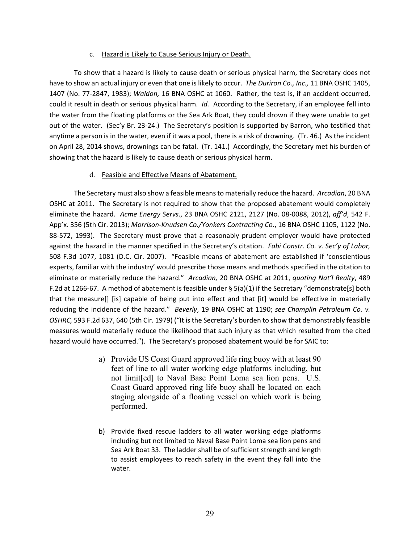#### c. Hazard is Likely to Cause Serious Injury or Death.

To show that a hazard is likely to cause death or serious physical harm, the Secretary does not have to show an actual injury or even that one is likely to occur. *The Duriron Co., Inc.,* 11 BNA OSHC 1405, 1407 (No. 77-2847, 1983); *Waldon,* 16 BNA OSHC at 1060. Rather, the test is, if an accident occurred, could it result in death or serious physical harm. *Id.* According to the Secretary, if an employee fell into the water from the floating platforms or the Sea Ark Boat, they could drown if they were unable to get out of the water. (Sec'y Br. 23-24.) The Secretary's position is supported by Barron, who testified that anytime a person is in the water, even if it was a pool, there is a risk of drowning. (Tr. 46.) As the incident on April 28, 2014 shows, drownings can be fatal. (Tr. 141.) Accordingly, the Secretary met his burden of showing that the hazard is likely to cause death or serious physical harm.

#### d. Feasible and Effective Means of Abatement.

The Secretary must also show a feasible means to materially reduce the hazard. *Arcadian*, 20 BNA OSHC at 2011. The Secretary is not required to show that the proposed abatement would completely eliminate the hazard. *Acme Energy Servs*., 23 BNA OSHC 2121, 2127 (No. 08-0088, 2012), *aff'd*, 542 F. App'x. 356 (5th Cir. 2013); *Morrison-Knudsen Co./Yonkers Contracting Co.*, 16 BNA OSHC 1105, 1122 (No. 88-572, 1993). The Secretary must prove that a reasonably prudent employer would have protected against the hazard in the manner specified in the Secretary's citation. *Fabi Constr. Co. v. Sec'y of Labor,*  508 F.3d 1077, 1081 (D.C. Cir. 2007). "Feasible means of abatement are established if 'conscientious experts, familiar with the industry' would prescribe those means and methods specified in the citation to eliminate or materially reduce the hazard." *Arcadian,* 20 BNA OSHC at 2011, *quoting Nat'l Realty*, 489 F.2d at 1266-67. A method of abatement is feasible under § 5(a)(1) if the Secretary "demonstrate[s] both that the measure[] [is] capable of being put into effect and that [it] would be effective in materially reducing the incidence of the hazard." *Beverly*, 19 BNA OSHC at 1190; *see Champlin Petroleum Co. v. OSHRC,* 593 F.2d 637, 640 (5th Cir. 1979) ("It is the Secretary's burden to show that demonstrably feasible measures would materially reduce the likelihood that such injury as that which resulted from the cited hazard would have occurred."). The Secretary's proposed abatement would be for SAIC to:

- a) Provide US Coast Guard approved life ring buoy with at least 90 feet of line to all water working edge platforms including, but not limit[ed] to Naval Base Point Loma sea lion pens. U.S. Coast Guard approved ring life buoy shall be located on each staging alongside of a floating vessel on which work is being performed.
- b) Provide fixed rescue ladders to all water working edge platforms including but not limited to Naval Base Point Loma sea lion pens and Sea Ark Boat 33. The ladder shall be of sufficient strength and length to assist employees to reach safety in the event they fall into the water.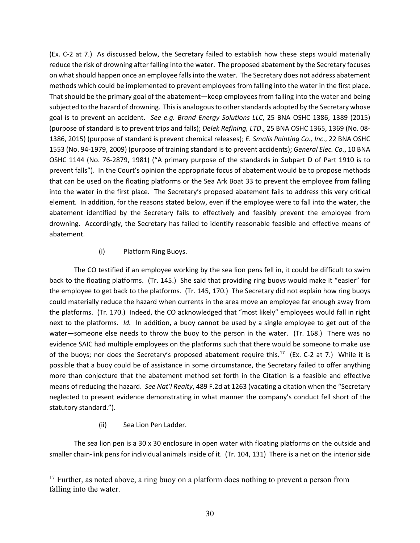(Ex. C-2 at 7.) As discussed below, the Secretary failed to establish how these steps would materially reduce the risk of drowning after falling into the water. The proposed abatement by the Secretary focuses on what should happen once an employee falls into the water. The Secretary does not address abatement methods which could be implemented to prevent employees from falling into the water in the first place. That should be the primary goal of the abatement—keep employees from falling into the water and being subjected to the hazard of drowning. This is analogous to other standards adopted by the Secretary whose goal is to prevent an accident. *See e.g. Brand Energy Solutions LLC*, 25 BNA OSHC 1386, 1389 (2015) (purpose of standard is to prevent trips and falls); *Delek Refining, LTD*., 25 BNA OSHC 1365, 1369 (No. 08- 1386, 2015) (purpose of standard is prevent chemical releases); *E. Smalis Painting Co., Inc*., 22 BNA OSHC 1553 (No. 94-1979, 2009) (purpose of training standard is to prevent accidents); *General Elec. Co.*, 10 BNA OSHC 1144 (No. 76-2879, 1981) ("A primary purpose of the standards in Subpart D of Part 1910 is to prevent falls"). In the Court's opinion the appropriate focus of abatement would be to propose methods that can be used on the floating platforms or the Sea Ark Boat 33 to prevent the employee from falling into the water in the first place. The Secretary's proposed abatement fails to address this very critical element. In addition, for the reasons stated below, even if the employee were to fall into the water, the abatement identified by the Secretary fails to effectively and feasibly prevent the employee from drowning. Accordingly, the Secretary has failed to identify reasonable feasible and effective means of abatement.

# (i) Platform Ring Buoys.

The CO testified if an employee working by the sea lion pens fell in, it could be difficult to swim back to the floating platforms. (Tr. 145.) She said that providing ring buoys would make it "easier" for the employee to get back to the platforms. (Tr. 145, 170.) The Secretary did not explain how ring buoys could materially reduce the hazard when currents in the area move an employee far enough away from the platforms. (Tr. 170.) Indeed, the CO acknowledged that "most likely" employees would fall in right next to the platforms. *Id.* In addition, a buoy cannot be used by a single employee to get out of the water—someone else needs to throw the buoy to the person in the water. (Tr. 168.) There was no evidence SAIC had multiple employees on the platforms such that there would be someone to make use of the buoys; nor does the Secretary's proposed abatement require this.<sup>[17](#page-29-0)</sup> (Ex. C-2 at 7.) While it is possible that a buoy could be of assistance in some circumstance, the Secretary failed to offer anything more than conjecture that the abatement method set forth in the Citation is a feasible and effective means of reducing the hazard. *See Nat'l Realty*, 489 F.2d at 1263 (vacating a citation when the "Secretary neglected to present evidence demonstrating in what manner the company's conduct fell short of the statutory standard.").

(ii) Sea Lion Pen Ladder.

The sea lion pen is a 30 x 30 enclosure in open water with floating platforms on the outside and smaller chain-link pens for individual animals inside of it. (Tr. 104, 131) There is a net on the interior side

<span id="page-29-0"></span><sup>&</sup>lt;sup>17</sup> Further, as noted above, a ring buoy on a platform does nothing to prevent a person from falling into the water.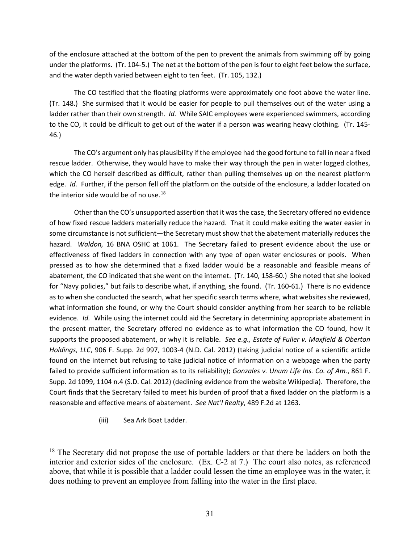of the enclosure attached at the bottom of the pen to prevent the animals from swimming off by going under the platforms. (Tr. 104-5.) The net at the bottom of the pen is four to eight feet below the surface, and the water depth varied between eight to ten feet. (Tr. 105, 132.)

The CO testified that the floating platforms were approximately one foot above the water line. (Tr. 148.) She surmised that it would be easier for people to pull themselves out of the water using a ladder rather than their own strength. *Id.* While SAIC employees were experienced swimmers, according to the CO, it could be difficult to get out of the water if a person was wearing heavy clothing. (Tr. 145- 46.)

The CO's argument only has plausibility if the employee had the good fortune to fall in near a fixed rescue ladder. Otherwise, they would have to make their way through the pen in water logged clothes, which the CO herself described as difficult, rather than pulling themselves up on the nearest platform edge. *Id.* Further, if the person fell off the platform on the outside of the enclosure, a ladder located on the interior side would be of no use. $18$ 

Other than the CO's unsupported assertion that it was the case, the Secretary offered no evidence of how fixed rescue ladders materially reduce the hazard. That it could make exiting the water easier in some circumstance is not sufficient—the Secretary must show that the abatement materially reduces the hazard. *Waldon,* 16 BNA OSHC at 1061. The Secretary failed to present evidence about the use or effectiveness of fixed ladders in connection with any type of open water enclosures or pools. When pressed as to how she determined that a fixed ladder would be a reasonable and feasible means of abatement, the CO indicated that she went on the internet. (Tr. 140, 158-60.) She noted that she looked for "Navy policies," but fails to describe what, if anything, she found. (Tr. 160-61.) There is no evidence as to when she conducted the search, what her specific search terms where, what websites she reviewed, what information she found, or why the Court should consider anything from her search to be reliable evidence. *Id.* While using the internet could aid the Secretary in determining appropriate abatement in the present matter, the Secretary offered no evidence as to what information the CO found, how it supports the proposed abatement, or why it is reliable. *See e.g., Estate of Fuller v. Maxfield & Oberton Holdings, LLC*, 906 F. Supp. 2d 997, 1003-4 (N.D. Cal. 2012) (taking judicial notice of a scientific article found on the internet but refusing to take judicial notice of information on a webpage when the party failed to provide sufficient information as to its reliability); *Gonzales v. Unum Life Ins. Co. of Am.*, 861 F. Supp. 2d 1099, 1104 n.4 (S.D. Cal. 2012) (declining evidence from the website Wikipedia). Therefore, the Court finds that the Secretary failed to meet his burden of proof that a fixed ladder on the platform is a reasonable and effective means of abatement. *See Nat'l Realty*, 489 F.2d at 1263.

(iii) Sea Ark Boat Ladder.

<span id="page-30-0"></span><sup>&</sup>lt;sup>18</sup> The Secretary did not propose the use of portable ladders or that there be ladders on both the interior and exterior sides of the enclosure. (Ex. C-2 at 7.) The court also notes, as referenced above, that while it is possible that a ladder could lessen the time an employee was in the water, it does nothing to prevent an employee from falling into the water in the first place.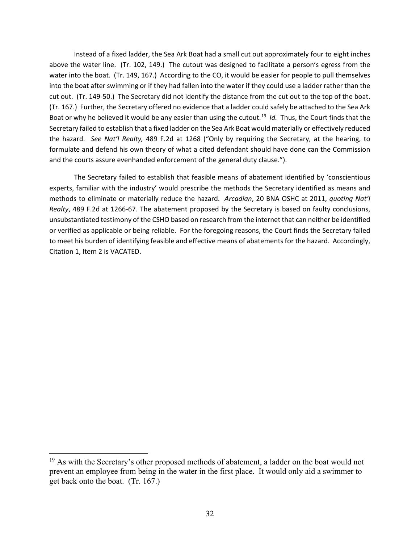Instead of a fixed ladder, the Sea Ark Boat had a small cut out approximately four to eight inches above the water line. (Tr. 102, 149.) The cutout was designed to facilitate a person's egress from the water into the boat. (Tr. 149, 167.) According to the CO, it would be easier for people to pull themselves into the boat after swimming or if they had fallen into the water if they could use a ladder rather than the cut out. (Tr. 149-50.) The Secretary did not identify the distance from the cut out to the top of the boat. (Tr. 167.) Further, the Secretary offered no evidence that a ladder could safely be attached to the Sea Ark Boat or why he believed it would be any easier than using the cutout.<sup>[19](#page-31-0)</sup> *Id.* Thus, the Court finds that the Secretary failed to establish that a fixed ladder on the Sea Ark Boat would materially or effectively reduced the hazard. *See Nat'l Realty,* 489 F.2d at 1268 ("Only by requiring the Secretary, at the hearing, to formulate and defend his own theory of what a cited defendant should have done can the Commission and the courts assure evenhanded enforcement of the general duty clause.").

The Secretary failed to establish that feasible means of abatement identified by 'conscientious experts, familiar with the industry' would prescribe the methods the Secretary identified as means and methods to eliminate or materially reduce the hazard. *Arcadian*, 20 BNA OSHC at 2011, *quoting Nat'l Realty*, 489 F.2d at 1266-67. The abatement proposed by the Secretary is based on faulty conclusions, unsubstantiated testimony of the CSHO based on research from the internet that can neither be identified or verified as applicable or being reliable. For the foregoing reasons, the Court finds the Secretary failed to meet his burden of identifying feasible and effective means of abatements for the hazard. Accordingly, Citation 1, Item 2 is VACATED.

<span id="page-31-0"></span> $19$  As with the Secretary's other proposed methods of abatement, a ladder on the boat would not prevent an employee from being in the water in the first place. It would only aid a swimmer to get back onto the boat. (Tr. 167.)